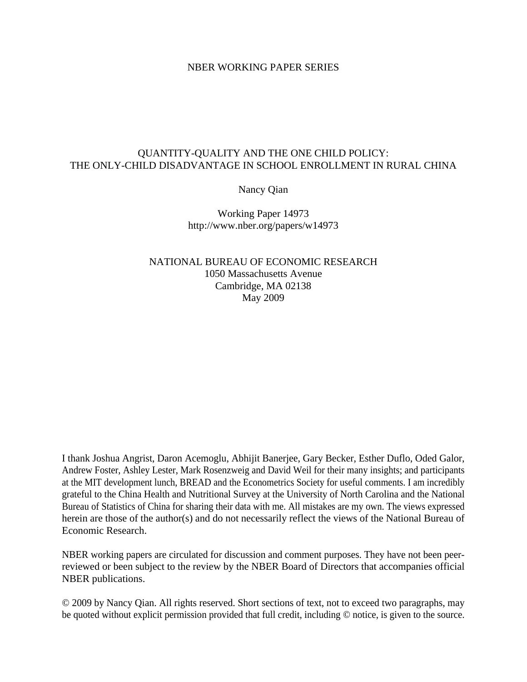## NBER WORKING PAPER SERIES

## QUANTITY-QUALITY AND THE ONE CHILD POLICY: THE ONLY-CHILD DISADVANTAGE IN SCHOOL ENROLLMENT IN RURAL CHINA

Nancy Qian

Working Paper 14973 http://www.nber.org/papers/w14973

NATIONAL BUREAU OF ECONOMIC RESEARCH 1050 Massachusetts Avenue Cambridge, MA 02138 May 2009

I thank Joshua Angrist, Daron Acemoglu, Abhijit Banerjee, Gary Becker, Esther Duflo, Oded Galor, Andrew Foster, Ashley Lester, Mark Rosenzweig and David Weil for their many insights; and participants at the MIT development lunch, BREAD and the Econometrics Society for useful comments. I am incredibly grateful to the China Health and Nutritional Survey at the University of North Carolina and the National Bureau of Statistics of China for sharing their data with me. All mistakes are my own. The views expressed herein are those of the author(s) and do not necessarily reflect the views of the National Bureau of Economic Research.

NBER working papers are circulated for discussion and comment purposes. They have not been peerreviewed or been subject to the review by the NBER Board of Directors that accompanies official NBER publications.

© 2009 by Nancy Qian. All rights reserved. Short sections of text, not to exceed two paragraphs, may be quoted without explicit permission provided that full credit, including © notice, is given to the source.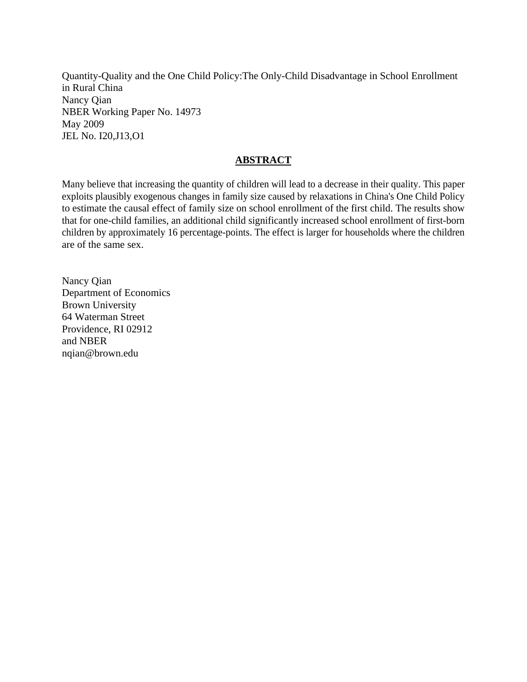Quantity-Quality and the One Child Policy:The Only-Child Disadvantage in School Enrollment in Rural China Nancy Qian NBER Working Paper No. 14973 May 2009 JEL No. I20,J13,O1

## **ABSTRACT**

Many believe that increasing the quantity of children will lead to a decrease in their quality. This paper exploits plausibly exogenous changes in family size caused by relaxations in China's One Child Policy to estimate the causal effect of family size on school enrollment of the first child. The results show that for one-child families, an additional child significantly increased school enrollment of first-born children by approximately 16 percentage-points. The effect is larger for households where the children are of the same sex.

Nancy Qian Department of Economics Brown University 64 Waterman Street Providence, RI 02912 and NBER nqian@brown.edu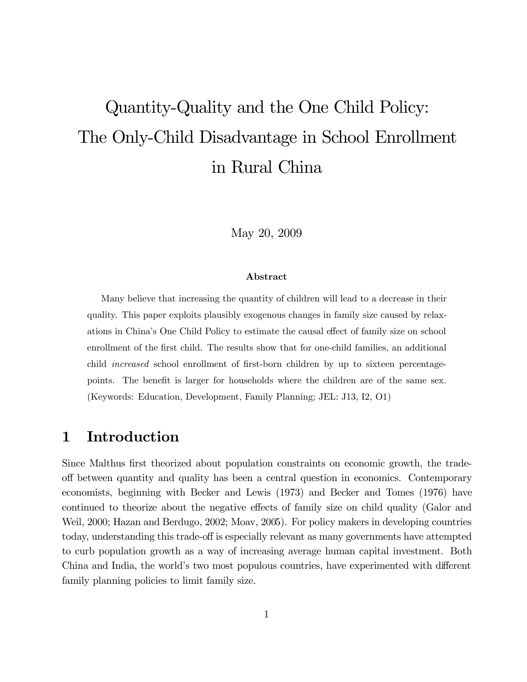# Quantity-Quality and the One Child Policy: The Only-Child Disadvantage in School Enrollment in Rural China

May 20, 2009

## Abstract

Many believe that increasing the quantity of children will lead to a decrease in their quality. This paper exploits plausibly exogenous changes in family size caused by relaxations in China's One Child Policy to estimate the causal effect of family size on school enrollment of the first child. The results show that for one-child families, an additional child *increased* school enrollment of first-born children by up to sixteen percentagepoints. The benefit is larger for households where the children are of the same sex. (Keywords: Education, Development, Family Planning; JEL: J13, I2, O1)

#### Introduction  $\mathbf 1$

Since Malthus first theorized about population constraints on economic growth, the tradeoff between quantity and quality has been a central question in economics. Contemporary economists, beginning with Becker and Lewis (1973) and Becker and Tomes (1976) have continued to theorize about the negative effects of family size on child quality (Galor and Weil, 2000; Hazan and Berdugo, 2002; Moav, 2005). For policy makers in developing countries today, understanding this trade-off is especially relevant as many governments have attempted to curb population growth as a way of increasing average human capital investment. Both China and India, the world's two most populous countries, have experimented with different family planning policies to limit family size.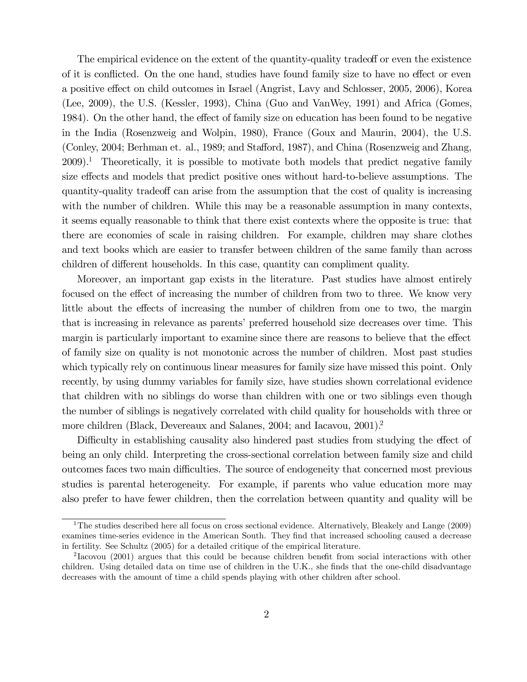The empirical evidence on the extent of the quantity-quality tradeoff or even the existence of it is conflicted. On the one hand, studies have found family size to have no effect or even a positive effect on child outcomes in Israel (Angrist, Lavy and Schlosser, 2005, 2006), Korea (Lee, 2009), the U.S. (Kessler, 1993), China (Guo and VanWey, 1991) and Africa (Gomes, 1984). On the other hand, the effect of family size on education has been found to be negative in the India (Rosenzweig and Wolpin, 1980), France (Goux and Maurin, 2004), the U.S. (Conley, 2004; Berhman et. al., 1989; and Stafford, 1987), and China (Rosenzweig and Zhang,  $2009$ ).<sup>1</sup> Theoretically, it is possible to motivate both models that predict negative family size effects and models that predict positive ones without hard-to-believe assumptions. The quantity-quality tradeoff can arise from the assumption that the cost of quality is increasing with the number of children. While this may be a reasonable assumption in many contexts, it seems equally reasonable to think that there exist contexts where the opposite is true: that there are economies of scale in raising children. For example, children may share clothes and text books which are easier to transfer between children of the same family than across children of different households. In this case, quantity can compliment quality.

Moreover, an important gap exists in the literature. Past studies have almost entirely focused on the effect of increasing the number of children from two to three. We know very little about the effects of increasing the number of children from one to two, the margin that is increasing in relevance as parents' preferred household size decreases over time. This margin is particularly important to examine since there are reasons to believe that the effect of family size on quality is not monotonic across the number of children. Most past studies which typically rely on continuous linear measures for family size have missed this point. Only recently, by using dummy variables for family size, have studies shown correlational evidence that children with no siblings do worse than children with one or two siblings even though the number of siblings is negatively correlated with child quality for households with three or more children (Black, Devereaux and Salanes, 2004; and Iacavou, 2001).<sup>2</sup>

Difficulty in establishing causality also hindered past studies from studying the effect of being an only child. Interpreting the cross-sectional correlation between family size and child outcomes faces two main difficulties. The source of endogeneity that concerned most previous studies is parental heterogeneity. For example, if parents who value education more may also prefer to have fewer children, then the correlation between quantity and quality will be

<sup>&</sup>lt;sup>1</sup>The studies described here all focus on cross sectional evidence. Alternatively, Bleakely and Lange  $(2009)$ examines time-series evidence in the American South. They find that increased schooling caused a decrease in fertility. See Schultz (2005) for a detailed critique of the empirical literature.

<sup>&</sup>lt;sup>2</sup> Iacovou (2001) argues that this could be because children benefit from social interactions with other children. Using detailed data on time use of children in the U.K., she finds that the one-child disadvantage decreases with the amount of time a child spends playing with other children after school.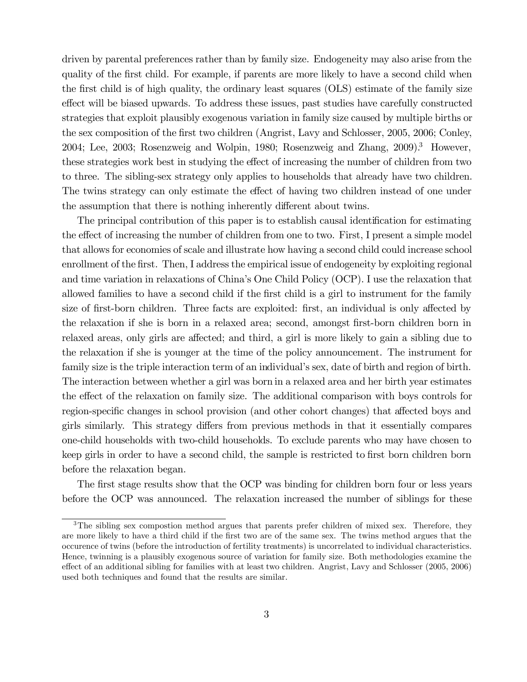driven by parental preferences rather than by family size. Endogeneity may also arise from the quality of the first child. For example, if parents are more likely to have a second child when the first child is of high quality, the ordinary least squares (OLS) estimate of the family size effect will be biased upwards. To address these issues, past studies have carefully constructed strategies that exploit plausibly exogenous variation in family size caused by multiple births or the sex composition of the first two children (Angrist, Lavy and Schlosser, 2005, 2006; Conley, 2004; Lee, 2003; Rosenzweig and Wolpin, 1980; Rosenzweig and Zhang, 2009).<sup>3</sup> However, these strategies work best in studying the effect of increasing the number of children from two to three. The sibling-sex strategy only applies to households that already have two children. The twins strategy can only estimate the effect of having two children instead of one under the assumption that there is nothing inherently different about twins.

The principal contribution of this paper is to establish causal identification for estimating the effect of increasing the number of children from one to two. First, I present a simple model that allows for economies of scale and illustrate how having a second child could increase school enrollment of the first. Then, I address the empirical issue of endogeneity by exploiting regional and time variation in relaxations of China's One Child Policy (OCP). I use the relaxation that allowed families to have a second child if the first child is a girl to instrument for the family size of first-born children. Three facts are exploited: first, an individual is only affected by the relaxation if she is born in a relaxed area; second, amongst first-born children born in relaxed areas, only girls are affected; and third, a girl is more likely to gain a sibling due to the relaxation if she is younger at the time of the policy announcement. The instrument for family size is the triple interaction term of an individual's sex, date of birth and region of birth. The interaction between whether a girl was born in a relaxed area and her birth year estimates the effect of the relaxation on family size. The additional comparison with boys controls for region-specific changes in school provision (and other cohort changes) that affected boys and girls similarly. This strategy differs from previous methods in that it essentially compares one-child households with two-child households. To exclude parents who may have chosen to keep girls in order to have a second child, the sample is restricted to first born children born before the relaxation began.

The first stage results show that the OCP was binding for children born four or less years before the OCP was announced. The relaxation increased the number of siblings for these

<sup>&</sup>lt;sup>3</sup>The sibling sex compostion method argues that parents prefer children of mixed sex. Therefore, they are more likely to have a third child if the first two are of the same sex. The twins method argues that the occurence of twins (before the introduction of fertility treatments) is uncorrelated to individual characteristics. Hence, twinning is a plausibly exogenous source of variation for family size. Both methodologies examine the effect of an additional sibling for families with at least two children. Angrist, Lavy and Schlosser (2005, 2006) used both techniques and found that the results are similar.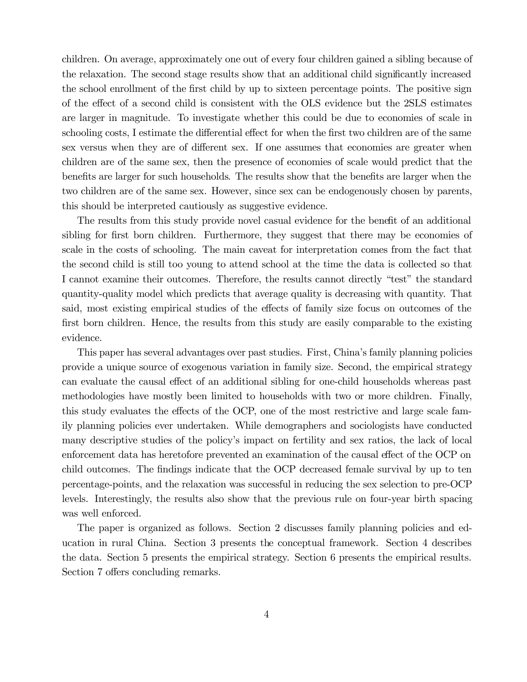children. On average, approximately one out of every four children gained a sibling because of the relaxation. The second stage results show that an additional child significantly increased the school enrollment of the first child by up to sixteen percentage points. The positive sign of the effect of a second child is consistent with the OLS evidence but the 2SLS estimates are larger in magnitude. To investigate whether this could be due to economies of scale in schooling costs, I estimate the differential effect for when the first two children are of the same sex versus when they are of different sex. If one assumes that economies are greater when children are of the same sex, then the presence of economies of scale would predict that the benefits are larger for such households. The results show that the benefits are larger when the two children are of the same sex. However, since sex can be endogenously chosen by parents, this should be interpreted cautiously as suggestive evidence.

The results from this study provide novel casual evidence for the benefit of an additional sibling for first born children. Furthermore, they suggest that there may be economies of scale in the costs of schooling. The main caveat for interpretation comes from the fact that the second child is still too young to attend school at the time the data is collected so that I cannot examine their outcomes. Therefore, the results cannot directly "test" the standard quantity-quality model which predicts that average quality is decreasing with quantity. That said, most existing empirical studies of the effects of family size focus on outcomes of the first born children. Hence, the results from this study are easily comparable to the existing evidence.

This paper has several advantages over past studies. First, China's family planning policies provide a unique source of exogenous variation in family size. Second, the empirical strategy can evaluate the causal effect of an additional sibling for one-child households whereas past methodologies have mostly been limited to households with two or more children. Finally, this study evaluates the effects of the OCP, one of the most restrictive and large scale family planning policies ever undertaken. While demographers and sociologists have conducted many descriptive studies of the policy's impact on fertility and sex ratios, the lack of local enforcement data has heretofore prevented an examination of the causal effect of the OCP on child outcomes. The findings indicate that the OCP decreased female survival by up to ten percentage-points, and the relaxation was successful in reducing the sex selection to pre-OCP levels. Interestingly, the results also show that the previous rule on four-year birth spacing was well enforced.

The paper is organized as follows. Section 2 discusses family planning policies and education in rural China. Section 3 presents the conceptual framework. Section 4 describes the data. Section 5 presents the empirical strategy. Section 6 presents the empirical results. Section 7 offers concluding remarks.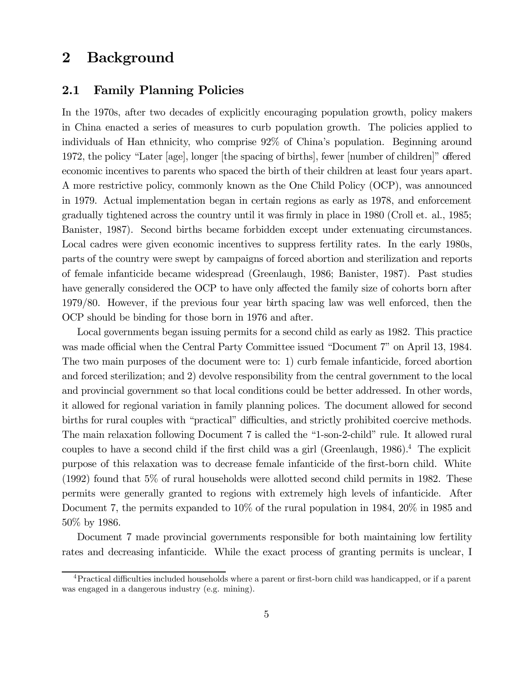#### $\boldsymbol{2}$ **Background**

#### $2.1$ **Family Planning Policies**

In the 1970s, after two decades of explicitly encouraging population growth, policy makers in China enacted a series of measures to curb population growth. The policies applied to individuals of Han ethnicity, who comprise 92% of China's population. Beginning around 1972, the policy "Later [age], longer [the spacing of births], fewer [number of children]" offered economic incentives to parents who spaced the birth of their children at least four years apart. A more restrictive policy, commonly known as the One Child Policy (OCP), was announced in 1979. Actual implementation began in certain regions as early as 1978, and enforcement gradually tightened across the country until it was firmly in place in 1980 (Croll et. al., 1985; Banister, 1987). Second births became forbidden except under extenuating circumstances. Local cadres were given economic incentives to suppress fertility rates. In the early 1980s, parts of the country were swept by campaigns of forced abortion and sterilization and reports of female infanticide became widespread (Greenlaugh, 1986; Banister, 1987). Past studies have generally considered the OCP to have only affected the family size of cohorts born after  $1979/80$ . However, if the previous four year birth spacing law was well enforced, then the OCP should be binding for those born in 1976 and after.

Local governments began issuing permits for a second child as early as 1982. This practice was made official when the Central Party Committee issued "Document 7" on April 13, 1984. The two main purposes of the document were to: 1) curb female infanticide, forced abortion and forced sterilization; and 2) devolve responsibility from the central government to the local and provincial government so that local conditions could be better addressed. In other words, it allowed for regional variation in family planning polices. The document allowed for second births for rural couples with "practical" difficulties, and strictly prohibited coercive methods. The main relaxation following Document 7 is called the "1-son-2-child" rule. It allowed rural couples to have a second child if the first child was a girl (Greenlaugh,  $1986$ ).<sup>4</sup> The explicit purpose of this relaxation was to decrease female infanticide of the first-born child. White  $(1992)$  found that 5% of rural households were allotted second child permits in 1982. These permits were generally granted to regions with extremely high levels of infanticide. After Document 7, the permits expanded to  $10\%$  of the rural population in 1984,  $20\%$  in 1985 and  $50\%$  by 1986.

Document 7 made provincial governments responsible for both maintaining low fertility rates and decreasing infanticide. While the exact process of granting permits is unclear, I

<sup>&</sup>lt;sup>4</sup>Practical difficulties included households where a parent or first-born child was handicapped, or if a parent was engaged in a dangerous industry (e.g. mining).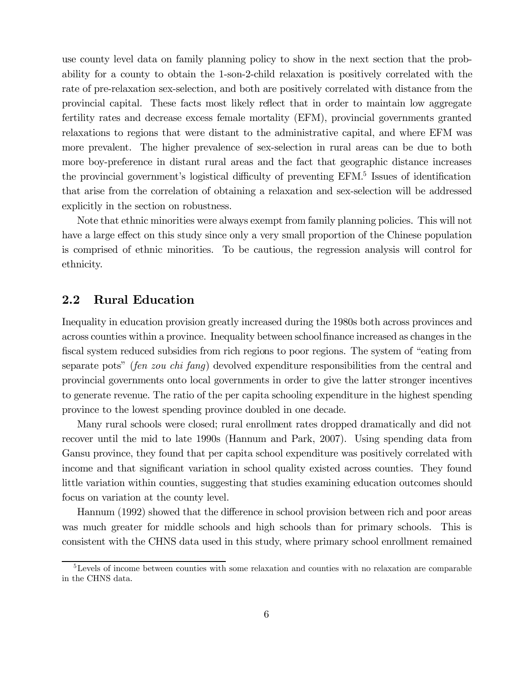use county level data on family planning policy to show in the next section that the probability for a county to obtain the 1-son-2-child relaxation is positively correlated with the rate of pre-relaxation sex-selection, and both are positively correlated with distance from the provincial capital. These facts most likely reflect that in order to maintain low aggregate fertility rates and decrease excess female mortality (EFM), provincial governments granted relaxations to regions that were distant to the administrative capital, and where EFM was more prevalent. The higher prevalence of sex-selection in rural areas can be due to both more boy-preference in distant rural areas and the fact that geographic distance increases the provincial government's logistical difficulty of preventing EFM.<sup>5</sup> Issues of identification that arise from the correlation of obtaining a relaxation and sex-selection will be addressed explicitly in the section on robustness.

Note that ethnic minorities were always exempt from family planning policies. This will not have a large effect on this study since only a very small proportion of the Chinese population is comprised of ethnic minorities. To be cautious, the regression analysis will control for ethnicity.

#### $2.2$ **Rural Education**

Inequality in education provision greatly increased during the 1980s both across provinces and across counties within a province. Inequality between school finance increased as changes in the fiscal system reduced subsidies from rich regions to poor regions. The system of "eating from separate pots" (fen zou chi fang) devolved expenditure responsibilities from the central and provincial governments onto local governments in order to give the latter stronger incentives to generate revenue. The ratio of the per capita schooling expenditure in the highest spending province to the lowest spending province doubled in one decade.

Many rural schools were closed; rural enrollment rates dropped dramatically and did not recover until the mid to late 1990s (Hannum and Park, 2007). Using spending data from Gansu province, they found that per capita school expenditure was positively correlated with income and that significant variation in school quality existed across counties. They found little variation within counties, suggesting that studies examining education outcomes should focus on variation at the county level.

Hannum (1992) showed that the difference in school provision between rich and poor areas was much greater for middle schools and high schools than for primary schools. This is consistent with the CHNS data used in this study, where primary school enrollment remained

 ${}^{5}$ Levels of income between counties with some relaxation and counties with no relaxation are comparable in the CHNS data.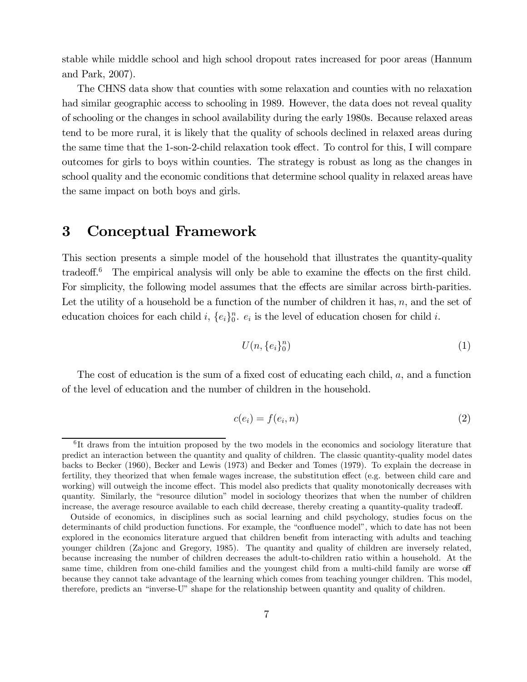stable while middle school and high school dropout rates increased for poor areas (Hannum and Park,  $2007$ ).

The CHNS data show that counties with some relaxation and counties with no relaxation had similar geographic access to schooling in 1989. However, the data does not reveal quality of schooling or the changes in school availability during the early 1980s. Because relaxed areas tend to be more rural, it is likely that the quality of schools declined in relaxed areas during the same time that the 1-son-2-child relaxation took effect. To control for this, I will compare outcomes for girls to boys within counties. The strategy is robust as long as the changes in school quality and the economic conditions that determine school quality in relaxed areas have the same impact on both boys and girls.

#### $\bf{3}$ Conceptual Framework

This section presents a simple model of the household that illustrates the quantity-quality tradeoff.<sup>6</sup> The empirical analysis will only be able to examine the effects on the first child. For simplicity, the following model assumes that the effects are similar across birth-parities. Let the utility of a household be a function of the number of children it has,  $n$ , and the set of education choices for each child i,  $\{e_i\}_0^n$ .  $e_i$  is the level of education chosen for child i.

$$
U(n, \{e_i\}_0^n) \tag{1}
$$

The cost of education is the sum of a fixed cost of educating each child, a, and a function of the level of education and the number of children in the household.

$$
c(e_i) = f(e_i, n) \tag{2}
$$

 ${}^{6}$ It draws from the intuition proposed by the two models in the economics and sociology literature that predict an interaction between the quantity and quality of children. The classic quantity-quality model dates backs to Becker (1960), Becker and Lewis (1973) and Becker and Tomes (1979). To explain the decrease in fertility, they theorized that when female wages increase, the substitution effect (e.g. between child care and working) will outweigh the income effect. This model also predicts that quality monotonically decreases with quantity. Similarly, the "resource dilution" model in sociology theorizes that when the number of children increase, the average resource available to each child decrease, thereby creating a quantity-quality tradeoff.

Outside of economics, in disciplines such as social learning and child psychology, studies focus on the determinants of child production functions. For example, the "confluence model", which to date has not been explored in the economics literature argued that children benefit from interacting with adults and teaching younger children (Zajonc and Gregory, 1985). The quantity and quality of children are inversely related, because increasing the number of children decreases the adult-to-children ratio within a household. At the same time, children from one-child families and the youngest child from a multi-child family are worse of because they cannot take advantage of the learning which comes from teaching younger children. This model, therefore, predicts an "inverse-U" shape for the relationship between quantity and quality of children.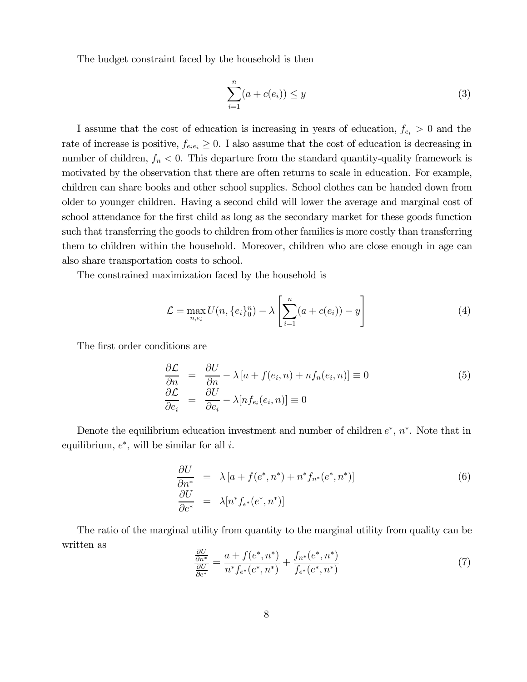The budget constraint faced by the household is then

$$
\sum_{i=1}^{n} (a + c(e_i)) \le y \tag{3}
$$

I assume that the cost of education is increasing in years of education,  $f_{e_i} > 0$  and the rate of increase is positive,  $f_{e_ie_i} \geq 0$ . I also assume that the cost of education is decreasing in number of children,  $f_n < 0$ . This departure from the standard quantity-quality framework is motivated by the observation that there are often returns to scale in education. For example, children can share books and other school supplies. School clothes can be handed down from older to younger children. Having a second child will lower the average and marginal cost of school attendance for the first child as long as the secondary market for these goods function such that transferring the goods to children from other families is more costly than transferring them to children within the household. Moreover, children who are close enough in age can also share transportation costs to school.

The constrained maximization faced by the household is

$$
\mathcal{L} = \max_{n, e_i} U(n, \{e_i\}_0^n) - \lambda \left[ \sum_{i=1}^n (a + c(e_i)) - y \right]
$$
 (4)

The first order conditions are

$$
\frac{\partial \mathcal{L}}{\partial n} = \frac{\partial U}{\partial n} - \lambda \left[ a + f(e_i, n) + n f_n(e_i, n) \right] \equiv 0
$$
\n
$$
\frac{\partial \mathcal{L}}{\partial e_i} = \frac{\partial U}{\partial e_i} - \lambda [n f_{e_i}(e_i, n)] \equiv 0
$$
\n(5)

Denote the equilibrium education investment and number of children  $e^*$ ,  $n^*$ . Note that in equilibrium,  $e^*$ , will be similar for all *i*.

$$
\frac{\partial U}{\partial n^*} = \lambda \left[ a + f(e^*, n^*) + n^* f_{n^*}(e^*, n^*) \right]
$$
\n
$$
\frac{\partial U}{\partial e^*} = \lambda [n^* f_{e^*}(e^*, n^*)]
$$
\n(6)

The ratio of the marginal utility from quantity to the marginal utility from quality can be written as

$$
\frac{\frac{\partial U}{\partial n^*}}{\frac{\partial U}{\partial e^*}} = \frac{a + f(e^*, n^*)}{n^* f_{e^*}(e^*, n^*)} + \frac{f_{n^*}(e^*, n^*)}{f_{e^*}(e^*, n^*)}
$$
(7)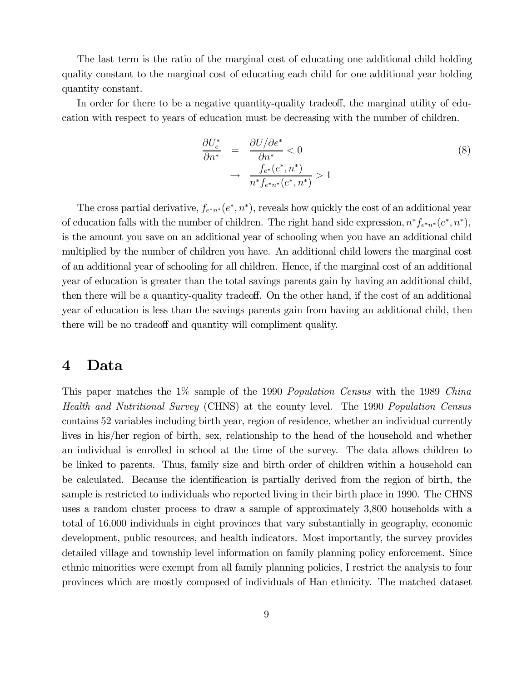The last term is the ratio of the marginal cost of educating one additional child holding quality constant to the marginal cost of educating each child for one additional year holding quantity constant.

In order for there to be a negative quantity-quality tradeoff, the marginal utility of education with respect to years of education must be decreasing with the number of children.

$$
\frac{\partial U_e^*}{\partial n^*} = \frac{\partial U/\partial e^*}{\partial n^*} < 0
$$
\n
$$
\rightarrow \frac{f_{e^*}(e^*, n^*)}{n^* f_{e^* n^*}(e^*, n^*)} > 1
$$
\n(8)

The cross partial derivative,  $f_{e^*n^*}(e^*, n^*)$ , reveals how quickly the cost of an additional year of education falls with the number of children. The right hand side expression,  $n^* f_{e^* n^*}(e^*, n^*)$ , is the amount you save on an additional year of schooling when you have an additional child multiplied by the number of children you have. An additional child lowers the marginal cost of an additional year of schooling for all children. Hence, if the marginal cost of an additional year of education is greater than the total savings parents gain by having an additional child, then there will be a quantity-quality tradeoff. On the other hand, if the cost of an additional year of education is less than the savings parents gain from having an additional child, then there will be no tradeoff and quantity will compliment quality.

#### Data  $\boldsymbol{4}$

This paper matches the 1% sample of the 1990 *Population Census* with the 1989 *China* Health and Nutritional Survey (CHNS) at the county level. The 1990 Population Census contains 52 variables including birth year, region of residence, whether an individual currently lives in his/her region of birth, sex, relationship to the head of the household and whether an individual is enrolled in school at the time of the survey. The data allows children to be linked to parents. Thus, family size and birth order of children within a household can be calculated. Because the identification is partially derived from the region of birth, the sample is restricted to individuals who reported living in their birth place in 1990. The CHNS uses a random cluster process to draw a sample of approximately 3,800 households with a total of 16,000 individuals in eight provinces that vary substantially in geography, economic development, public resources, and health indicators. Most importantly, the survey provides detailed village and township level information on family planning policy enforcement. Since ethnic minorities were exempt from all family planning policies, I restrict the analysis to four provinces which are mostly composed of individuals of Han ethnicity. The matched dataset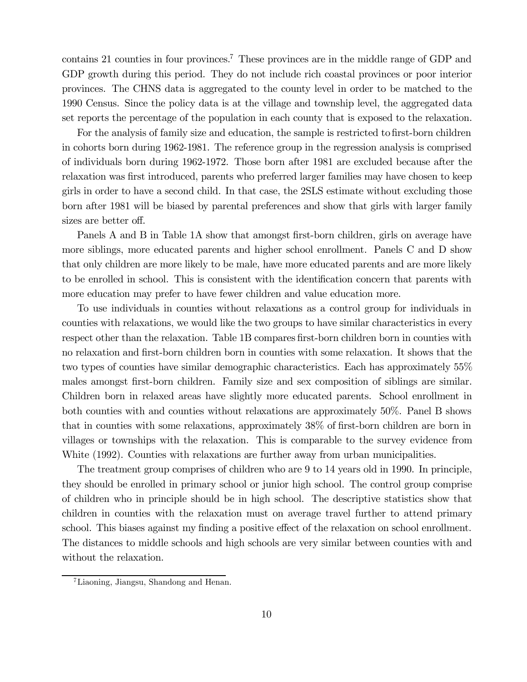contains 21 counties in four provinces.<sup>7</sup> These provinces are in the middle range of GDP and GDP growth during this period. They do not include rich coastal provinces or poor interior provinces. The CHNS data is aggregated to the county level in order to be matched to the 1990 Census. Since the policy data is at the village and township level, the aggregated data set reports the percentage of the population in each county that is exposed to the relaxation.

For the analysis of family size and education, the sample is restricted to first-born children in cohorts born during 1962-1981. The reference group in the regression analysis is comprised of individuals born during 1962-1972. Those born after 1981 are excluded because after the relaxation was first introduced, parents who preferred larger families may have chosen to keep girls in order to have a second child. In that case, the 2SLS estimate without excluding those born after 1981 will be biased by parental preferences and show that girls with larger family sizes are better off.

Panels A and B in Table 1A show that amongst first-born children, girls on average have more siblings, more educated parents and higher school enrollment. Panels C and D show that only children are more likely to be male, have more educated parents and are more likely to be enrolled in school. This is consistent with the identification concern that parents with more education may prefer to have fewer children and value education more.

To use individuals in counties without relaxations as a control group for individuals in counties with relaxations, we would like the two groups to have similar characteristics in every respect other than the relaxation. Table 1B compares first-born children born in counties with no relaxation and first-born children born in counties with some relaxation. It shows that the two types of counties have similar demographic characteristics. Each has approximately 55% males amongst first-born children. Family size and sex composition of siblings are similar. Children born in relaxed areas have slightly more educated parents. School enrollment in both counties with and counties without relaxations are approximately 50%. Panel B shows that in counties with some relaxations, approximately 38% of first-born children are born in villages or townships with the relaxation. This is comparable to the survey evidence from White (1992). Counties with relaxations are further away from urban municipalities.

The treatment group comprises of children who are 9 to 14 years old in 1990. In principle, they should be enrolled in primary school or junior high school. The control group comprise of children who in principle should be in high school. The descriptive statistics show that children in counties with the relaxation must on average travel further to attend primary school. This biases against my finding a positive effect of the relaxation on school enrollment. The distances to middle schools and high schools are very similar between counties with and without the relaxation.

 ${}^{7}$ Liaoning, Jiangsu, Shandong and Henan.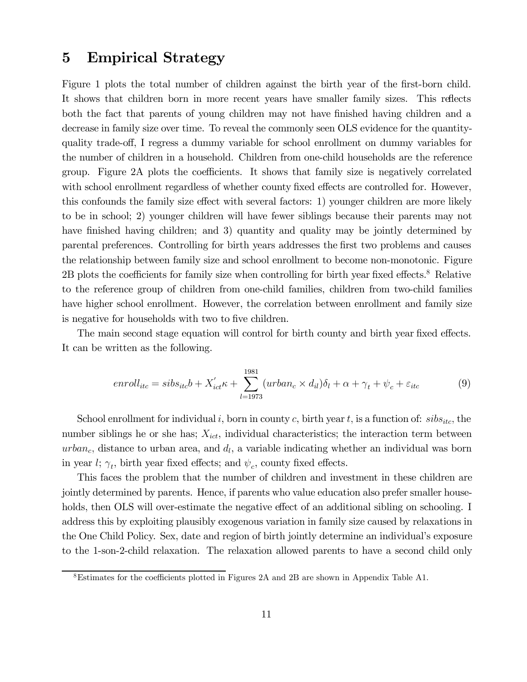#### **Empirical Strategy**  $\bf{5}$

Figure 1 plots the total number of children against the birth year of the first-born child. It shows that children born in more recent years have smaller family sizes. This reflects both the fact that parents of young children may not have finished having children and a decrease in family size over time. To reveal the commonly seen OLS evidence for the quantityquality trade-off, I regress a dummy variable for school enrollment on dummy variables for the number of children in a household. Children from one-child households are the reference group. Figure 2A plots the coefficients. It shows that family size is negatively correlated with school enrollment regardless of whether county fixed effects are controlled for. However, this confounds the family size effect with several factors: 1) younger children are more likely to be in school; 2) younger children will have fewer siblings because their parents may not have finished having children; and 3) quantity and quality may be jointly determined by parental preferences. Controlling for birth years addresses the first two problems and causes the relationship between family size and school enrollment to become non-monotonic. Figure  $2B$  plots the coefficients for family size when controlling for birth year fixed effects.<sup>8</sup> Relative to the reference group of children from one-child families, children from two-child families have higher school enrollment. However, the correlation between enrollment and family size is negative for households with two to five children.

The main second stage equation will control for birth county and birth year fixed effects. It can be written as the following.

$$
enroll_{itc} = sibs_{itc}b + X'_{ict} \kappa + \sum_{l=1973}^{1981} (urban_c \times d_{il}) \delta_l + \alpha + \gamma_t + \psi_c + \varepsilon_{itc}
$$
(9)

School enrollment for individual i, born in county c, birth year t, is a function of:  $sibs_{itc}$ , the number siblings he or she has;  $X_{ict}$ , individual characteristics; the interaction term between  $urban<sub>c</sub>$ , distance to urban area, and  $d<sub>l</sub>$ , a variable indicating whether an individual was born in year  $l; \gamma_t$ , birth year fixed effects; and  $\psi_c$ , county fixed effects.

This faces the problem that the number of children and investment in these children are jointly determined by parents. Hence, if parents who value education also prefer smaller households, then OLS will over-estimate the negative effect of an additional sibling on schooling. I address this by exploiting plausibly exogenous variation in family size caused by relaxations in the One Child Policy. Sex, date and region of birth jointly determine an individual's exposure to the 1-son-2-child relaxation. The relaxation allowed parents to have a second child only

 $8$ Estimates for the coefficients plotted in Figures 2A and 2B are shown in Appendix Table A1.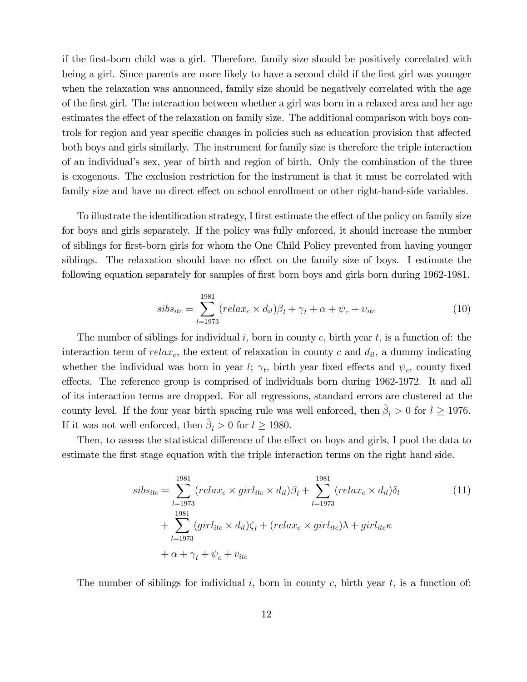if the first-born child was a girl. Therefore, family size should be positively correlated with being a girl. Since parents are more likely to have a second child if the first girl was younger when the relaxation was announced, family size should be negatively correlated with the age of the first girl. The interaction between whether a girl was born in a relaxed area and her age estimates the effect of the relaxation on family size. The additional comparison with boys controls for region and year specific changes in policies such as education provision that affected both boys and girls similarly. The instrument for family size is therefore the triple interaction of an individual's sex, year of birth and region of birth. Only the combination of the three is exogenous. The exclusion restriction for the instrument is that it must be correlated with family size and have no direct effect on school enrollment or other right-hand-side variables.

To illustrate the identification strategy, I first estimate the effect of the policy on family size for boys and girls separately. If the policy was fully enforced, it should increase the number of siblings for first-born girls for whom the One Child Policy prevented from having younger siblings. The relaxation should have no effect on the family size of boys. I estimate the following equation separately for samples of first born boys and girls born during 1962-1981.

$$
sibs_{itc} = \sum_{l=1973}^{1981} (relax_c \times d_{il}) \beta_l + \gamma_t + \alpha + \psi_c + v_{itc}
$$
\n
$$
(10)
$$

The number of siblings for individual i, born in county c, birth year t, is a function of: the interaction term of  $relax_c$ , the extent of relaxation in county c and  $d_{il}$ , a dummy indicating whether the individual was born in year  $l; \gamma_t$ , birth year fixed effects and  $\psi_c$ , county fixed effects. The reference group is comprised of individuals born during 1962-1972. It and all of its interaction terms are dropped. For all regressions, standard errors are clustered at the county level. If the four year birth spacing rule was well enforced, then  $\hat{\beta}_l > 0$  for  $l \geq 1976$ . If it was not well enforced, then  $\hat{\beta}_l > 0$  for  $l \geq 1980.$ 

Then, to assess the statistical difference of the effect on boys and girls, I pool the data to estimate the first stage equation with the triple interaction terms on the right hand side.

$$
sibs_{itc} = \sum_{l=1973}^{1981} (relax_c \times girl_{itc} \times d_{il})\beta_l + \sum_{l=1973}^{1981} (relax_c \times d_{il})\delta_l
$$
  
+ 
$$
\sum_{l=1973}^{1981} (girl_{itc} \times d_{il})\zeta_l + (relax_c \times girl_{itc})\lambda + girl_{itc}\kappa
$$
  
+ 
$$
\alpha + \gamma_t + \psi_c + v_{itc}
$$
 (11)

The number of siblings for individual i, born in county c, birth year t, is a function of: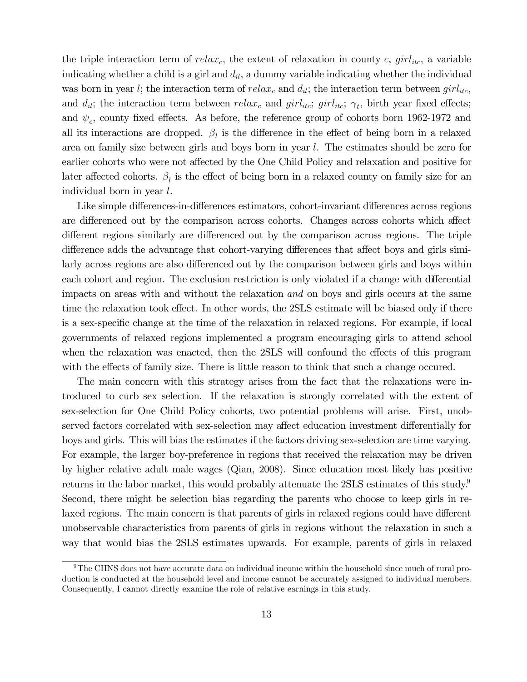the triple interaction term of  $relax_c$ , the extent of relaxation in county c,  $girl_{itc}$ , a variable indicating whether a child is a girl and  $d_{il}$ , a dummy variable indicating whether the individual was born in year l; the interaction term of  $relax_c$  and  $d_{il}$ ; the interaction term between  $girl_{itc}$ , and  $d_{il}$ ; the interaction term between  $relax_c$  and  $girl_{itc}$ ;  $girl_{itc}$ ;  $\gamma_t$ , birth year fixed effects; and  $\psi_c$ , county fixed effects. As before, the reference group of cohorts born 1962-1972 and all its interactions are dropped.  $\beta_l$  is the difference in the effect of being born in a relaxed area on family size between girls and boys born in year l. The estimates should be zero for earlier cohorts who were not affected by the One Child Policy and relaxation and positive for later affected cohorts.  $\beta_l$  is the effect of being born in a relaxed county on family size for an individual born in year  $l$ .

Like simple differences-in-differences estimators, cohort-invariant differences across regions are differenced out by the comparison across cohorts. Changes across cohorts which affect different regions similarly are differenced out by the comparison across regions. The triple difference adds the advantage that cohort-varying differences that affect boys and girls similarly across regions are also differenced out by the comparison between girls and boys within each cohort and region. The exclusion restriction is only violated if a change with differential impacts on areas with and without the relaxation and on boys and girls occurs at the same time the relaxation took effect. In other words, the 2SLS estimate will be biased only if there is a sex-specific change at the time of the relaxation in relaxed regions. For example, if local governments of relaxed regions implemented a program encouraging girls to attend school when the relaxation was enacted, then the 2SLS will confound the effects of this program with the effects of family size. There is little reason to think that such a change occurred.

The main concern with this strategy arises from the fact that the relaxations were introduced to curb sex selection. If the relaxation is strongly correlated with the extent of sex-selection for One Child Policy cohorts, two potential problems will arise. First, unobserved factors correlated with sex-selection may affect education investment differentially for boys and girls. This will bias the estimates if the factors driving sex-selection are time varying. For example, the larger boy-preference in regions that received the relaxation may be driven by higher relative adult male wages (Qian, 2008). Since education most likely has positive returns in the labor market, this would probably attenuate the 2SLS estimates of this study. Second, there might be selection bias regarding the parents who choose to keep girls in relaxed regions. The main concern is that parents of girls in relaxed regions could have different unobservable characteristics from parents of girls in regions without the relaxation in such a way that would bias the 2SLS estimates upwards. For example, parents of girls in relaxed

 $\rm{^{9}The}$  CHNS does not have accurate data on individual income within the household since much of rural production is conducted at the household level and income cannot be accurately assigned to individual members. Consequently, I cannot directly examine the role of relative earnings in this study.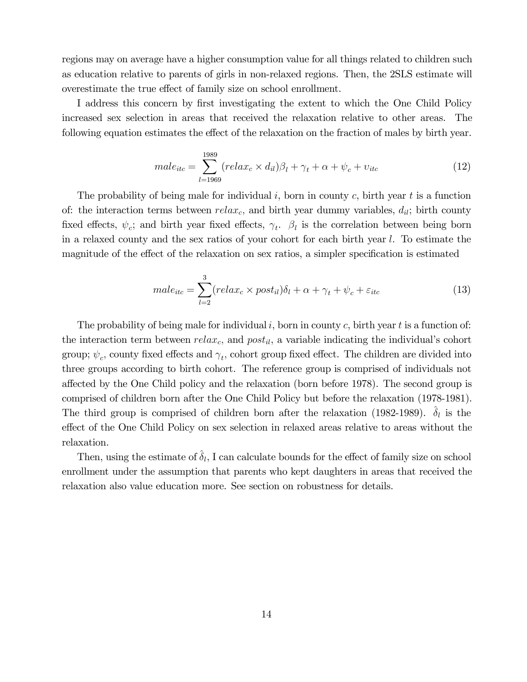regions may on average have a higher consumption value for all things related to children such as education relative to parents of girls in non-relaxed regions. Then, the 2SLS estimate will overestimate the true effect of family size on school enrollment.

I address this concern by first investigating the extent to which the One Child Policy increased sex selection in areas that received the relaxation relative to other areas. The following equation estimates the effect of the relaxation on the fraction of males by birth year.

$$
male_{itc} = \sum_{l=1969}^{1989} (relax_c \times d_{il})\beta_l + \gamma_t + \alpha + \psi_c + v_{itc}
$$
\n
$$
(12)
$$

The probability of being male for individual i, born in county c, birth year t is a function of: the interaction terms between  $relax_c$ , and birth year dummy variables,  $d_{il}$ ; birth county fixed effects,  $\psi_c$ ; and birth year fixed effects,  $\gamma_t$ .  $\beta_l$  is the correlation between being born in a relaxed county and the sex ratios of your cohort for each birth year l. To estimate the magnitude of the effect of the relaxation on sex ratios, a simpler specification is estimated

$$
male_{itc} = \sum_{l=2}^{3} (relax_c \times post_{il})\delta_l + \alpha + \gamma_t + \psi_c + \varepsilon_{itc}
$$
\n
$$
(13)
$$

The probability of being male for individual i, born in county c, birth year t is a function of: the interaction term between  $relax_c$ , and  $post_{il}$ , a variable indicating the individual's cohort group;  $\psi_c$ , county fixed effects and  $\gamma_t$ , cohort group fixed effect. The children are divided into three groups according to birth cohort. The reference group is comprised of individuals not affected by the One Child policy and the relaxation (born before 1978). The second group is comprised of children born after the One Child Policy but before the relaxation (1978-1981). The third group is comprised of children born after the relaxation (1982-1989).  $\delta_l$  is the effect of the One Child Policy on sex selection in relaxed areas relative to areas without the relaxation.

Then, using the estimate of  $\delta_l$ , I can calculate bounds for the effect of family size on school enrollment under the assumption that parents who kept daughters in areas that received the relaxation also value education more. See section on robustness for details.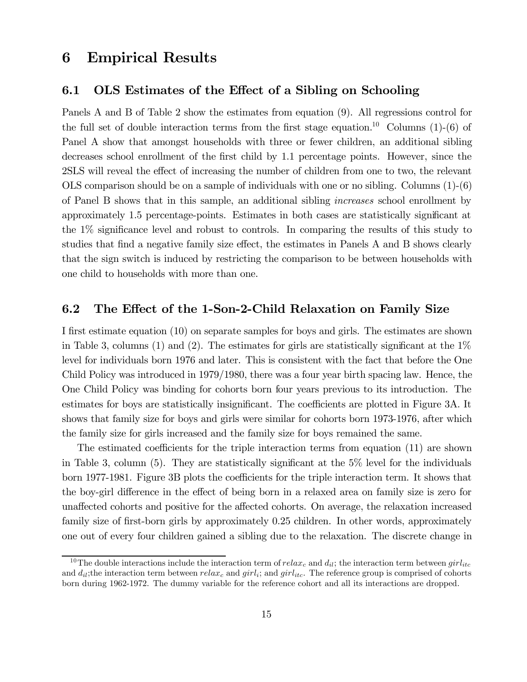#### **Empirical Results** 6

#### $6.1$ OLS Estimates of the Effect of a Sibling on Schooling

Panels A and B of Table 2 show the estimates from equation (9). All regressions control for the full set of double interaction terms from the first stage equation.<sup>10</sup> Columns (1)-(6) of Panel A show that amongst households with three or fewer children, an additional sibling decreases school enrollment of the first child by 1.1 percentage points. However, since the 2SLS will reveal the effect of increasing the number of children from one to two, the relevant OLS comparison should be on a sample of individuals with one or no sibling. Columns  $(1)-(6)$ of Panel B shows that in this sample, an additional sibling *increases* school enrollment by approximately 1.5 percentage-points. Estimates in both cases are statistically significant at the  $1\%$  significance level and robust to controls. In comparing the results of this study to studies that find a negative family size effect, the estimates in Panels A and B shows clearly that the sign switch is induced by restricting the comparison to be between households with one child to households with more than one.

#### $6.2$ The Effect of the 1-Son-2-Child Relaxation on Family Size

I first estimate equation (10) on separate samples for boys and girls. The estimates are shown in Table 3, columns (1) and (2). The estimates for girls are statistically significant at the  $1\%$ level for individuals born 1976 and later. This is consistent with the fact that before the One Child Policy was introduced in 1979/1980, there was a four year birth spacing law. Hence, the One Child Policy was binding for cohorts born four years previous to its introduction. The estimates for boys are statistically insignificant. The coefficients are plotted in Figure 3A. It shows that family size for boys and girls were similar for cohorts born 1973-1976, after which the family size for girls increased and the family size for boys remained the same.

The estimated coefficients for the triple interaction terms from equation (11) are shown in Table 3, column (5). They are statistically significant at the  $5\%$  level for the individuals born 1977-1981. Figure 3B plots the coefficients for the triple interaction term. It shows that the boy-girl difference in the effect of being born in a relaxed area on family size is zero for unaffected cohorts and positive for the affected cohorts. On average, the relaxation increased family size of first-born girls by approximately 0.25 children. In other words, approximately one out of every four children gained a sibling due to the relaxation. The discrete change in

<sup>&</sup>lt;sup>10</sup>The double interactions include the interaction term of relax<sub>c</sub> and  $d_{il}$ ; the interaction term between  $girl_{itc}$ and  $d_{il}$ ; the interaction term between  $relax_c$  and  $girl_i$ ; and  $girl_{it}$ . The reference group is comprised of cohorts born during 1962-1972. The dummy variable for the reference cohort and all its interactions are dropped.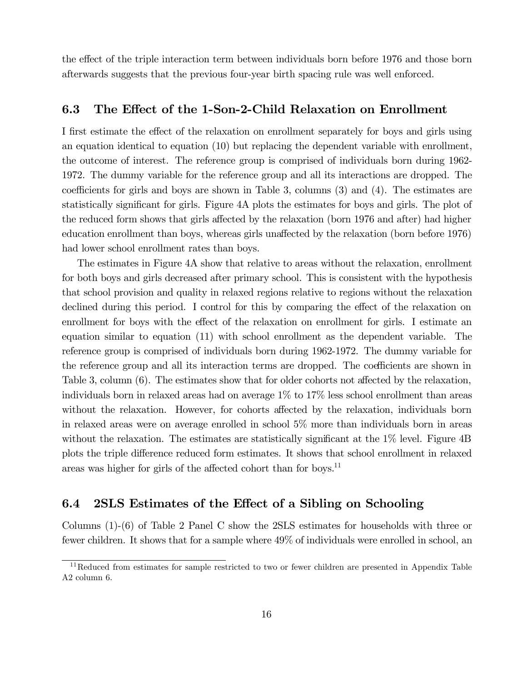the effect of the triple interaction term between individuals born before 1976 and those born afterwards suggests that the previous four-year birth spacing rule was well enforced.

#### 6.3 The Effect of the 1-Son-2-Child Relaxation on Enrollment

I first estimate the effect of the relaxation on enrollment separately for boys and girls using an equation identical to equation  $(10)$  but replacing the dependent variable with enrollment, the outcome of interest. The reference group is comprised of individuals born during 1962-1972. The dummy variable for the reference group and all its interactions are dropped. The coefficients for girls and boys are shown in Table 3, columns  $(3)$  and  $(4)$ . The estimates are statistically significant for girls. Figure 4A plots the estimates for boys and girls. The plot of the reduced form shows that girls affected by the relaxation (born 1976 and after) had higher education enrollment than boys, whereas girls unaffected by the relaxation (born before 1976) had lower school enrollment rates than boys.

The estimates in Figure 4A show that relative to areas without the relaxation, enrollment for both boys and girls decreased after primary school. This is consistent with the hypothesis that school provision and quality in relaxed regions relative to regions without the relaxation declined during this period. I control for this by comparing the effect of the relaxation on enrollment for boys with the effect of the relaxation on enrollment for girls. I estimate an equation similar to equation  $(11)$  with school enrollment as the dependent variable. The reference group is comprised of individuals born during 1962-1972. The dummy variable for the reference group and all its interaction terms are dropped. The coefficients are shown in Table 3, column  $(6)$ . The estimates show that for older cohorts not affected by the relaxation, individuals born in relaxed areas had on average  $1\%$  to  $17\%$  less school enrollment than areas without the relaxation. However, for cohorts affected by the relaxation, individuals born in relaxed areas were on average enrolled in school 5% more than individuals born in areas without the relaxation. The estimates are statistically significant at the 1% level. Figure 4B plots the triple difference reduced form estimates. It shows that school enrollment in relaxed areas was higher for girls of the affected cohort than for boys.<sup>11</sup>

#### $6.4$ 2SLS Estimates of the Effect of a Sibling on Schooling

Columns  $(1)-(6)$  of Table 2 Panel C show the 2SLS estimates for households with three or fewer children. It shows that for a sample where 49% of individuals were enrolled in school, an

 $11$ Reduced from estimates for sample restricted to two or fewer children are presented in Appendix Table A2 column 6.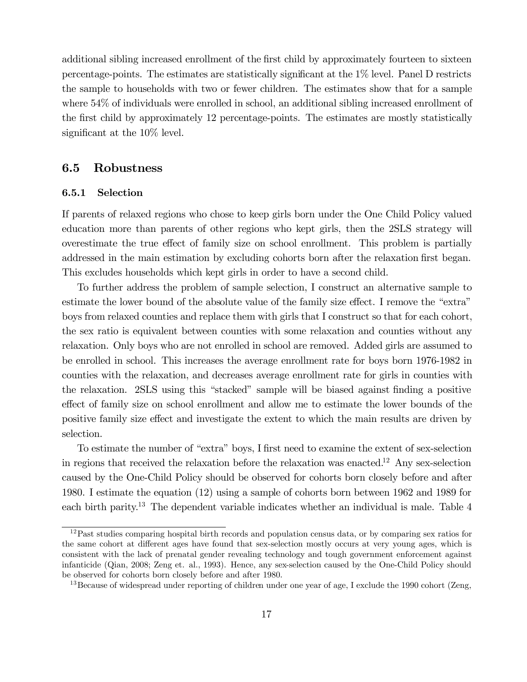additional sibling increased enrollment of the first child by approximately fourteen to sixteen percentage-points. The estimates are statistically significant at the  $1\%$  level. Panel D restricts the sample to households with two or fewer children. The estimates show that for a sample where 54% of individuals were enrolled in school, an additional sibling increased enrollment of the first child by approximately 12 percentage-points. The estimates are mostly statistically significant at the  $10\%$  level.

#### 6.5 Robustness

#### 6.5.1 Selection

If parents of relaxed regions who chose to keep girls born under the One Child Policy valued education more than parents of other regions who kept girls, then the 2SLS strategy will overestimate the true effect of family size on school enrollment. This problem is partially addressed in the main estimation by excluding cohorts born after the relaxation first began. This excludes households which kept girls in order to have a second child.

To further address the problem of sample selection, I construct an alternative sample to estimate the lower bound of the absolute value of the family size effect. I remove the "extra" boys from relaxed counties and replace them with girls that I construct so that for each cohort, the sex ratio is equivalent between counties with some relaxation and counties without any relaxation. Only boys who are not enrolled in school are removed. Added girls are assumed to be enrolled in school. This increases the average enrollment rate for boys born 1976-1982 in counties with the relaxation, and decreases average enrollment rate for girls in counties with the relaxation. 2SLS using this "stacked" sample will be biased against finding a positive effect of family size on school enrollment and allow me to estimate the lower bounds of the positive family size effect and investigate the extent to which the main results are driven by selection.

To estimate the number of "extra" boys, I first need to examine the extent of sex-selection in regions that received the relaxation before the relaxation was enacted.<sup>12</sup> Any sex-selection caused by the One-Child Policy should be observed for cohorts born closely before and after 1980. I estimate the equation (12) using a sample of cohorts born between 1962 and 1989 for each birth parity.<sup>13</sup> The dependent variable indicates whether an individual is male. Table 4

 $12$  Past studies comparing hospital birth records and population census data, or by comparing sex ratios for the same cohort at different ages have found that sex-selection mostly occurs at very young ages, which is consistent with the lack of prenatal gender revealing technology and tough government enforcement against infanticide (Qian, 2008; Zeng et. al., 1993). Hence, any sex-selection caused by the One-Child Policy should be observed for cohorts born closely before and after 1980.

 $^{13}$ Because of widespread under reporting of children under one year of age, I exclude the 1990 cohort (Zeng,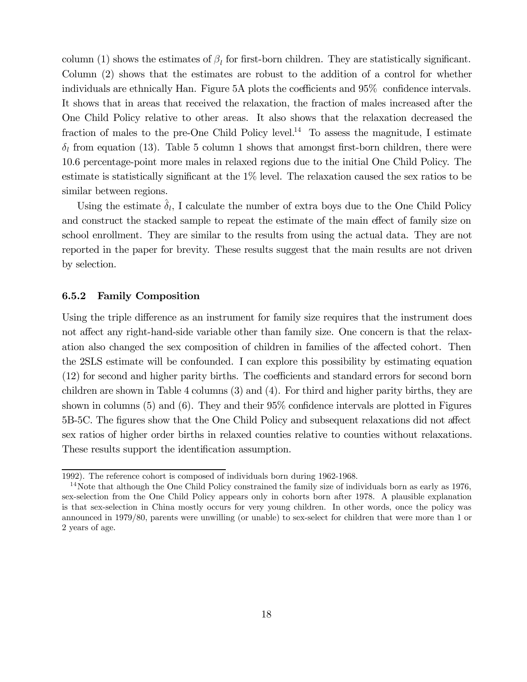column (1) shows the estimates of  $\beta_l$  for first-born children. They are statistically significant. Column (2) shows that the estimates are robust to the addition of a control for whether individuals are ethnically Han. Figure 5A plots the coefficients and 95% confidence intervals. It shows that in areas that received the relaxation, the fraction of males increased after the One Child Policy relative to other areas. It also shows that the relaxation decreased the fraction of males to the pre-One Child Policy level.<sup>14</sup> To assess the magnitude, I estimate  $\delta_l$  from equation (13). Table 5 column 1 shows that amongst first-born children, there were 10.6 percentage-point more males in relaxed regions due to the initial One Child Policy. The estimate is statistically significant at the  $1\%$  level. The relaxation caused the sex ratios to be similar between regions.

Using the estimate  $\delta_l$ , I calculate the number of extra boys due to the One Child Policy and construct the stacked sample to repeat the estimate of the main effect of family size on school enrollment. They are similar to the results from using the actual data. They are not reported in the paper for brevity. These results suggest that the main results are not driven by selection.

#### 6.5.2 **Family Composition**

Using the triple difference as an instrument for family size requires that the instrument does not affect any right-hand-side variable other than family size. One concern is that the relaxation also changed the sex composition of children in families of the affected cohort. Then the 2SLS estimate will be confounded. I can explore this possibility by estimating equation (12) for second and higher parity births. The coefficients and standard errors for second born children are shown in Table 4 columns  $(3)$  and  $(4)$ . For third and higher parity births, they are shown in columns  $(5)$  and  $(6)$ . They and their 95% confidence intervals are plotted in Figures 5B-5C. The figures show that the One Child Policy and subsequent relaxations did not affect sex ratios of higher order births in relaxed counties relative to counties without relaxations. These results support the identification assumption.

<sup>1992).</sup> The reference cohort is composed of individuals born during 1962-1968.

<sup>&</sup>lt;sup>14</sup>Note that although the One Child Policy constrained the family size of individuals born as early as 1976, sex-selection from the One Child Policy appears only in cohorts born after 1978. A plausible explanation is that sex-selection in China mostly occurs for very young children. In other words, once the policy was announced in 1979/80, parents were unwilling (or unable) to sex-select for children that were more than 1 or 2 years of age.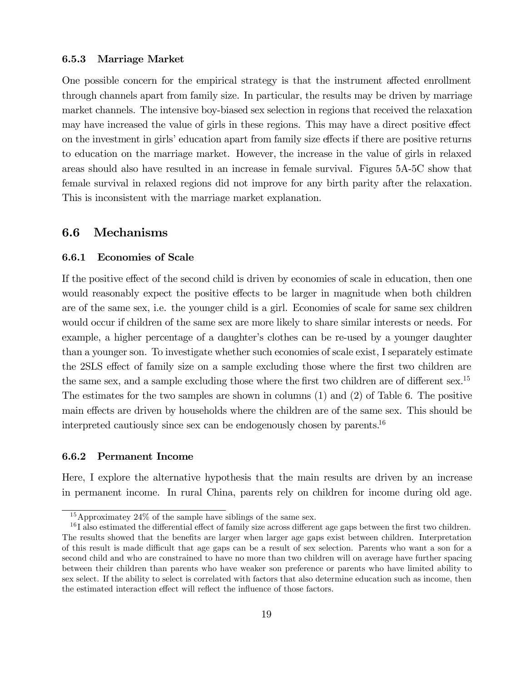#### 6.5.3 Marriage Market

One possible concern for the empirical strategy is that the instrument affected enrollment through channels apart from family size. In particular, the results may be driven by marriage market channels. The intensive boy-biased sex selection in regions that received the relaxation may have increased the value of girls in these regions. This may have a direct positive effect on the investment in girls' education apart from family size effects if there are positive returns to education on the marriage market. However, the increase in the value of girls in relaxed areas should also have resulted in an increase in female survival. Figures 5A-5C show that female survival in relaxed regions did not improve for any birth parity after the relaxation. This is inconsistent with the marriage market explanation.

#### **Mechanisms** 6.6

#### **Economies of Scale** 6.6.1

If the positive effect of the second child is driven by economies of scale in education, then one would reasonably expect the positive effects to be larger in magnitude when both children are of the same sex, i.e. the younger child is a girl. Economies of scale for same sex children would occur if children of the same sex are more likely to share similar interests or needs. For example, a higher percentage of a daughter's clothes can be re-used by a younger daughter than a younger son. To investigate whether such economies of scale exist, I separately estimate the 2SLS effect of family size on a sample excluding those where the first two children are the same sex, and a sample excluding those where the first two children are of different sex.<sup>15</sup> The estimates for the two samples are shown in columns  $(1)$  and  $(2)$  of Table 6. The positive main effects are driven by households where the children are of the same sex. This should be interpreted cautiously since sex can be endogenously chosen by parents.<sup>16</sup>

#### 6.6.2 **Permanent Income**

Here, I explore the alternative hypothesis that the main results are driven by an increase in permanent income. In rural China, parents rely on children for income during old age.

<sup>&</sup>lt;sup>15</sup> Approximately 24\% of the sample have siblings of the same sex.

 $^{16}$ I also estimated the differential effect of family size across different age gaps between the first two children. The results showed that the benefits are larger when larger age gaps exist between children. Interpretation of this result is made difficult that age gaps can be a result of sex selection. Parents who want a son for a second child and who are constrained to have no more than two children will on average have further spacing between their children than parents who have weaker son preference or parents who have limited ability to sex select. If the ability to select is correlated with factors that also determine education such as income, then the estimated interaction effect will reflect the influence of those factors.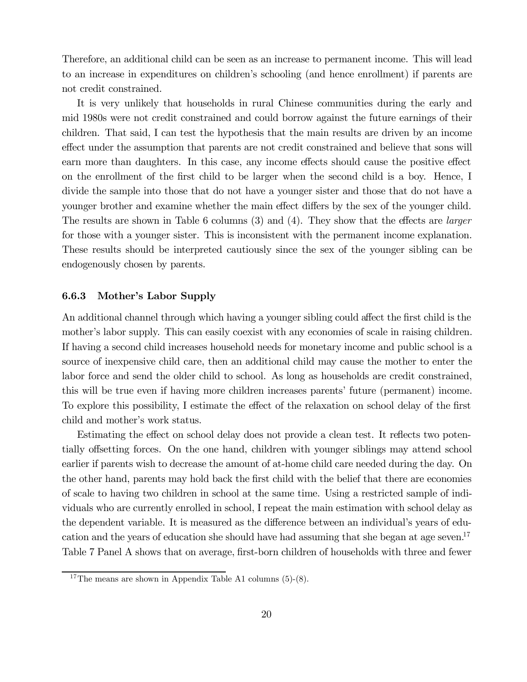Therefore, an additional child can be seen as an increase to permanent income. This will lead to an increase in expenditures on children's schooling (and hence enrollment) if parents are not credit constrained.

It is very unlikely that households in rural Chinese communities during the early and mid 1980s were not credit constrained and could borrow against the future earnings of their children. That said, I can test the hypothesis that the main results are driven by an income effect under the assumption that parents are not credit constrained and believe that sons will earn more than daughters. In this case, any income effects should cause the positive effect on the enrollment of the first child to be larger when the second child is a boy. Hence, I divide the sample into those that do not have a younger sister and those that do not have a younger brother and examine whether the main effect differs by the sex of the younger child. The results are shown in Table 6 columns (3) and (4). They show that the effects are *larger* for those with a younger sister. This is inconsistent with the permanent income explanation. These results should be interpreted cautiously since the sex of the younger sibling can be endogenously chosen by parents.

#### 6.6.3 Mother's Labor Supply

An additional channel through which having a younger sibling could affect the first child is the mother's labor supply. This can easily coexist with any economies of scale in raising children. If having a second child increases household needs for monetary income and public school is a source of inexpensive child care, then an additional child may cause the mother to enter the labor force and send the older child to school. As long as households are credit constrained, this will be true even if having more children increases parents' future (permanent) income. To explore this possibility, I estimate the effect of the relaxation on school delay of the first child and mother's work status.

Estimating the effect on school delay does not provide a clean test. It reflects two potentially offsetting forces. On the one hand, children with younger siblings may attend school earlier if parents wish to decrease the amount of at-home child care needed during the day. On the other hand, parents may hold back the first child with the belief that there are economies of scale to having two children in school at the same time. Using a restricted sample of individuals who are currently enrolled in school, I repeat the main estimation with school delay as the dependent variable. It is measured as the difference between an individual's years of education and the years of education she should have had assuming that she began at age seven.<sup>17</sup> Table 7 Panel A shows that on average, first-born children of households with three and fewer

<sup>&</sup>lt;sup>17</sup>The means are shown in Appendix Table A1 columns  $(5)-(8)$ .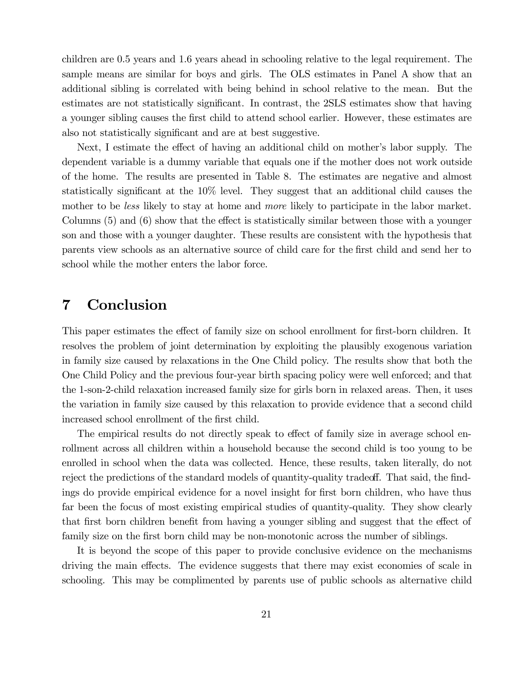children are 0.5 years and 1.6 years ahead in schooling relative to the legal requirement. The sample means are similar for boys and girls. The OLS estimates in Panel A show that an additional sibling is correlated with being behind in school relative to the mean. But the estimates are not statistically significant. In contrast, the 2SLS estimates show that having a younger sibling causes the first child to attend school earlier. However, these estimates are also not statistically significant and are at best suggestive.

Next, I estimate the effect of having an additional child on mother's labor supply. The dependent variable is a dummy variable that equals one if the mother does not work outside of the home. The results are presented in Table 8. The estimates are negative and almost statistically significant at the 10% level. They suggest that an additional child causes the mother to be less likely to stay at home and *more* likely to participate in the labor market. Columns  $(5)$  and  $(6)$  show that the effect is statistically similar between those with a younger son and those with a younger daughter. These results are consistent with the hypothesis that parents view schools as an alternative source of child care for the first child and send her to school while the mother enters the labor force.

#### Conclusion 7

This paper estimates the effect of family size on school enrollment for first-born children. It resolves the problem of joint determination by exploiting the plausibly exogenous variation in family size caused by relaxations in the One Child policy. The results show that both the One Child Policy and the previous four-year birth spacing policy were well enforced; and that the 1-son-2-child relaxation increased family size for girls born in relaxed areas. Then, it uses the variation in family size caused by this relaxation to provide evidence that a second child increased school enrollment of the first child.

The empirical results do not directly speak to effect of family size in average school enrollment across all children within a household because the second child is too young to be enrolled in school when the data was collected. Hence, these results, taken literally, do not reject the predictions of the standard models of quantity-quality tradeoff. That said, the findings do provide empirical evidence for a novel insight for first born children, who have thus far been the focus of most existing empirical studies of quantity-quality. They show clearly that first born children benefit from having a younger sibling and suggest that the effect of family size on the first born child may be non-monotonic across the number of siblings.

It is beyond the scope of this paper to provide conclusive evidence on the mechanisms driving the main effects. The evidence suggests that there may exist economies of scale in schooling. This may be complimented by parents use of public schools as alternative child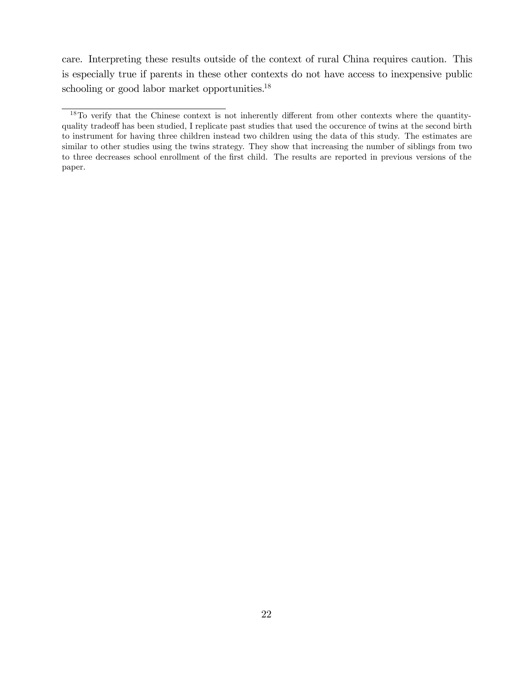care. Interpreting these results outside of the context of rural China requires caution. This is especially true if parents in these other contexts do not have access to inexpensive public schooling or good labor market opportunities.<sup>18</sup>

 $18$ To verify that the Chinese context is not inherently different from other contexts where the quantityquality tradeoff has been studied, I replicate past studies that used the occurence of twins at the second birth to instrument for having three children instead two children using the data of this study. The estimates are similar to other studies using the twins strategy. They show that increasing the number of siblings from two to three decreases school enrollment of the first child. The results are reported in previous versions of the paper.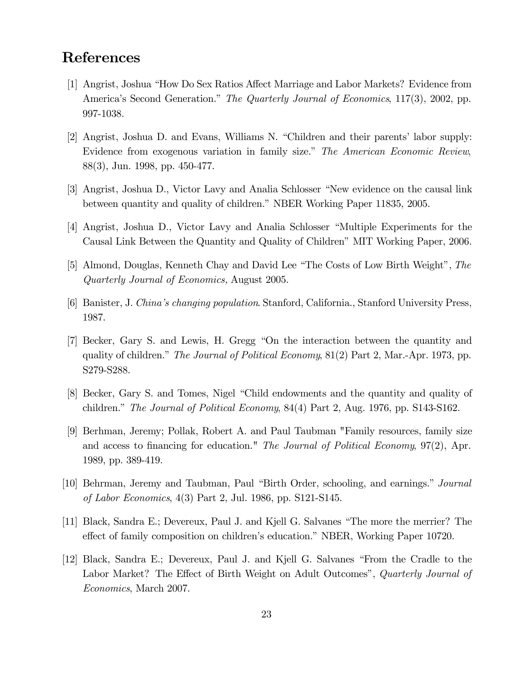## **References**

- [1] Angrist, Joshua "How Do Sex Ratios Affect Marriage and Labor Markets? Evidence from America's Second Generation." The Quarterly Journal of Economics, 117(3), 2002, pp. 997-1038.
- [2] Angrist, Joshua D. and Evans, Williams N. "Children and their parents' labor supply: Evidence from exogenous variation in family size." The American Economic Review,  $88(3)$ , Jun. 1998, pp. 450-477.
- [3] Angrist, Joshua D., Victor Lavy and Analia Schlosser "New evidence on the causal link between quantity and quality of children." NBER Working Paper 11835, 2005.
- [4] Angrist, Joshua D., Victor Lavy and Analia Schlosser "Multiple Experiments for the Causal Link Between the Quantity and Quality of Children" MIT Working Paper, 2006.
- [5] Almond, Douglas, Kenneth Chay and David Lee "The Costs of Low Birth Weight", The Quarterly Journal of Economics, August 2005.
- [6] Banister, J. China's changing population. Stanford, California., Stanford University Press, 1987.
- [7] Becker, Gary S. and Lewis, H. Gregg "On the interaction between the quantity and quality of children." The Journal of Political Economy, 81(2) Part 2, Mar.-Apr. 1973, pp. S279-S288.
- [8] Becker, Gary S. and Tomes, Nigel "Child endowments and the quantity and quality of children." The Journal of Political Economy,  $84(4)$  Part 2, Aug. 1976, pp. S143-S162.
- [9] Berhman, Jeremy; Pollak, Robert A. and Paul Taubman "Family resources, family size and access to financing for education." The Journal of Political Economy, 97(2), Apr. 1989, pp. 389-419.
- [10] Behrman, Jeremy and Taubman, Paul "Birth Order, schooling, and earnings." Journal of Labor Economics,  $4(3)$  Part 2, Jul. 1986, pp. S121-S145.
- [11] Black, Sandra E.; Devereux, Paul J. and Kjell G. Salvanes "The more the merrier? The effect of family composition on children's education." NBER, Working Paper 10720.
- [12] Black, Sandra E.; Devereux, Paul J. and Kjell G. Salvanes "From the Cradle to the Labor Market? The Effect of Birth Weight on Adult Outcomes", Quarterly Journal of *Economics*, March 2007.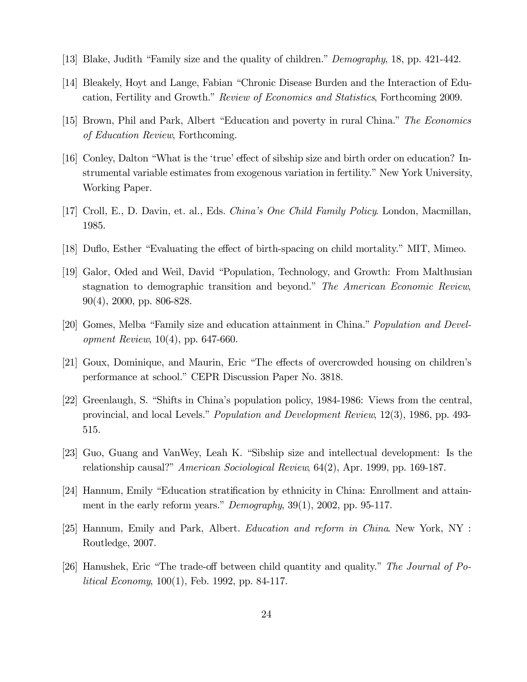- [13] Blake, Judith "Family size and the quality of children." Demography, 18, pp. 421-442.
- [14] Bleakely, Hoyt and Lange, Fabian "Chronic Disease Burden and the Interaction of Education, Fertility and Growth." Review of Economics and Statistics, Forthcoming 2009.
- [15] Brown, Phil and Park, Albert "Education and poverty in rural China." The Economics *of Education Review*, Forthcoming.
- [16] Conley, Dalton "What is the 'true' effect of sibship size and birth order on education? Instrumental variable estimates from exogenous variation in fertility." New York University, Working Paper.
- [17] Croll, E., D. Davin, et. al., Eds. *China's One Child Family Policy*. London, Macmillan, 1985.
- [18] Dufto, Esther "Evaluating the effect of birth-spacing on child mortality." MIT, Mimeo.
- [19] Galor, Oded and Weil, David "Population, Technology, and Growth: From Malthusian stagnation to demographic transition and beyond." The American Economic Review,  $90(4)$ , 2000, pp. 806-828.
- [20] Gomes, Melba "Family size and education attainment in China." *Population and Development Review*,  $10(4)$ , pp. 647-660.
- [21] Goux, Dominique, and Maurin, Eric "The effects of overcrowded housing on children's performance at school." CEPR Discussion Paper No. 3818.
- [22] Greenlaugh, S. "Shifts in China's population policy, 1984-1986: Views from the central, provincial, and local Levels." *Population and Development Review*, 12(3), 1986, pp. 493-515.
- [23] Guo, Guang and VanWey, Leah K. "Sibship size and intellectual development: Is the relationship causal?" American Sociological Review, 64(2), Apr. 1999, pp. 169-187.
- [24] Hannum, Emily "Education stratification by ethnicity in China: Enrollment and attainment in the early reform years." Demography,  $39(1)$ ,  $2002$ , pp. 95-117.
- [25] Hannum, Emily and Park, Albert. *Education and reform in China*. New York, NY: Routledge, 2007.
- [26] Hanushek, Eric "The trade-off between child quantity and quality." The Journal of Po*litical Economy*, 100(1), Feb. 1992, pp. 84-117.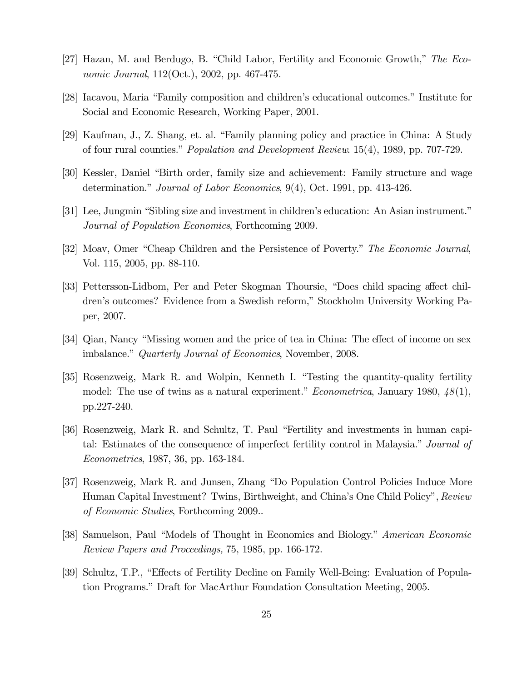- [27] Hazan, M. and Berdugo, B. "Child Labor, Fertility and Economic Growth," The Eco*nomic Journal*, 112(Oct.), 2002, pp. 467-475.
- [28] Iacavou, Maria "Family composition and children's educational outcomes." Institute for Social and Economic Research, Working Paper, 2001.
- [29] Kaufman, J., Z. Shang, et. al. "Family planning policy and practice in China: A Study of four rural counties." *Population and Development Review.* 15(4), 1989, pp. 707-729.
- [30] Kessler, Daniel "Birth order, family size and achievement: Family structure and wage determination." Journal of Labor Economics,  $9(4)$ , Oct. 1991, pp. 413-426.
- [31] Lee, Jungmin "Sibling size and investment in children's education: An Asian instrument." Journal of Population Economics, Forthcoming 2009.
- [32] Moav, Omer "Cheap Children and the Persistence of Poverty." The Economic Journal, Vol. 115, 2005, pp. 88-110.
- [33] Pettersson-Lidbom, Per and Peter Skogman Thoursie, "Does child spacing affect children's outcomes? Evidence from a Swedish reform," Stockholm University Working Paper, 2007.
- [34] Qian, Nancy "Missing women and the price of tea in China: The effect of income on sex imbalance." Quarterly Journal of Economics, November, 2008.
- [35] Rosenzweig, Mark R. and Wolpin, Kenneth I. "Testing the quantity-quality fertility model: The use of twins as a natural experiment." *Econometrica*, January 1980,  $48(1)$ , pp.227-240.
- [36] Rosenzweig, Mark R. and Schultz, T. Paul "Fertility and investments in human capital: Estimates of the consequence of imperfect fertility control in Malaysia." Journal of *Econometrics*, 1987, 36, pp. 163-184.
- [37] Rosenzweig, Mark R. and Junsen, Zhang "Do Population Control Policies Induce More Human Capital Investment? Twins, Birthweight, and China's One Child Policy", Review of Economic Studies, Forthcoming 2009...
- [38] Samuelson, Paul "Models of Thought in Economics and Biology." American Economic *Review Papers and Proceedings, 75, 1985, pp. 166-172.*
- [39] Schultz, T.P., "Effects of Fertility Decline on Family Well-Being: Evaluation of Population Programs." Draft for MacArthur Foundation Consultation Meeting, 2005.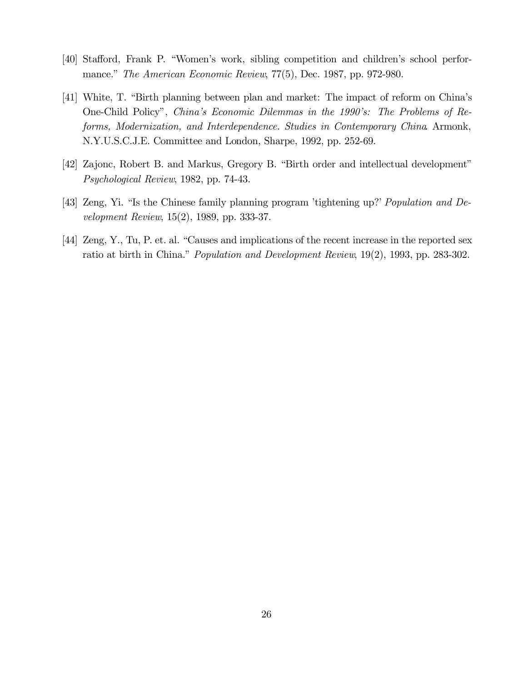- [40] Stafford, Frank P. "Women's work, sibling competition and children's school performance." The American Economic Review, 77(5), Dec. 1987, pp. 972-980.
- [41] White, T. "Birth planning between plan and market: The impact of reform on China's One-Child Policy", China's Economic Dilemmas in the 1990's: The Problems of Reforms, Modernization, and Interdependence. Studies in Contemporary China Armonk, N.Y.U.S.C.J.E. Committee and London, Sharpe, 1992, pp. 252-69.
- [42] Zajone, Robert B. and Markus, Gregory B. "Birth order and intellectual development" Psychological Review, 1982, pp. 74-43.
- [43] Zeng, Yi. "Is the Chinese family planning program 'tightening up?' Population and De*velopment Review*, 15(2), 1989, pp. 333-37.
- [44] Zeng, Y., Tu, P. et. al. "Causes and implications of the recent increase in the reported sex ratio at birth in China." Population and Development Review, 19(2), 1993, pp. 283-302.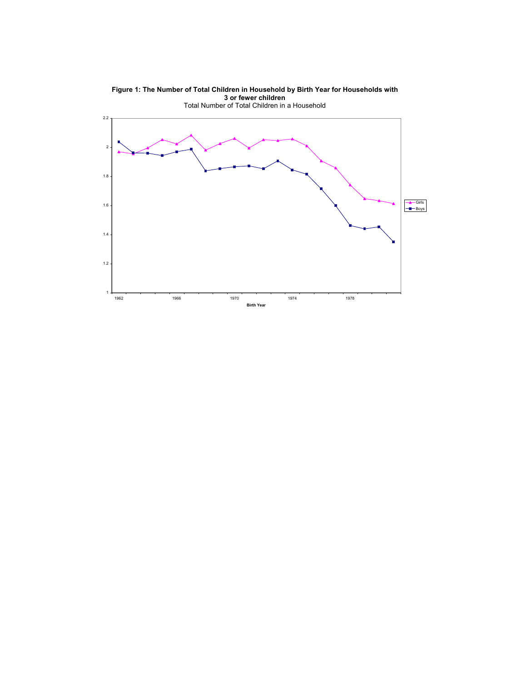

**Figure 1: The Number of Total Children in Household by Birth Year for Households with**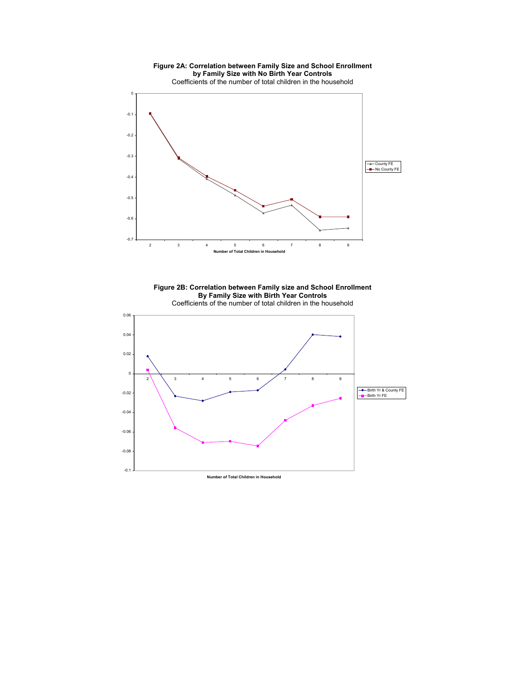

**Figure 2B: Correlation between Family size and School Enrollment By Family Size with Birth Year Controls**  Coefficients of the number of total children in the household

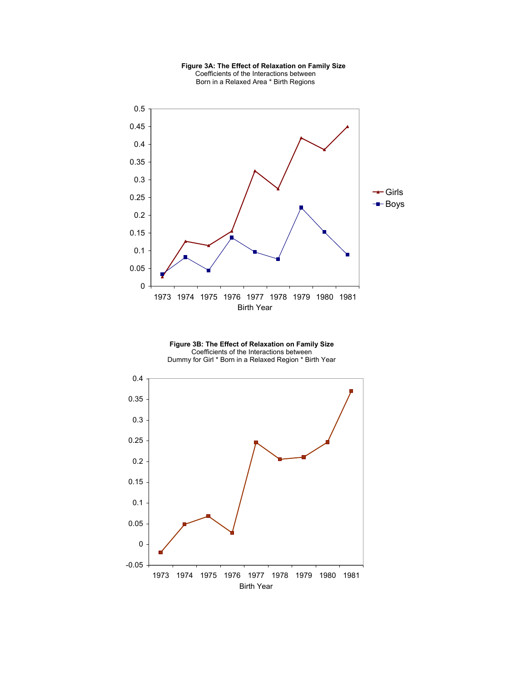

 **Figure 3A: The Effect of Relaxation on Family Size**  Coefficients of the Interactions between Born in a Relaxed Area \* Birth Regions

**Figure 3B: The Effect of Relaxation on Family Size**  Coefficients of the Interactions between Dummy for Girl \* Born in a Relaxed Region \* Birth Year

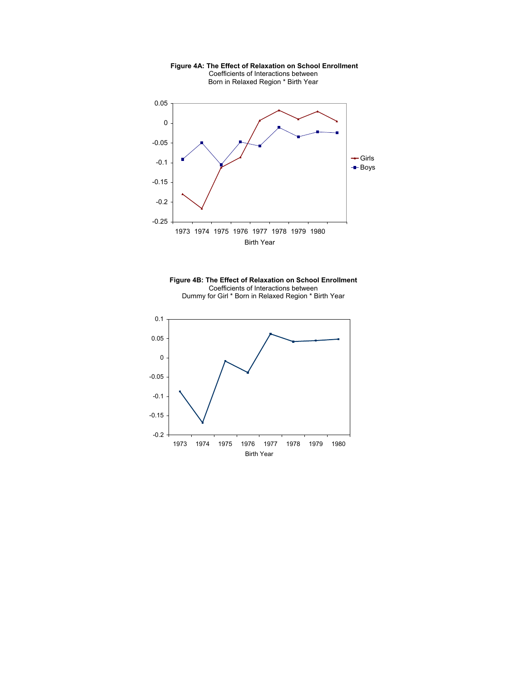

 **Figure 4A: The Effect of Relaxation on School Enrollment**  Coefficients of Interactions between Born in Relaxed Region \* Birth Year



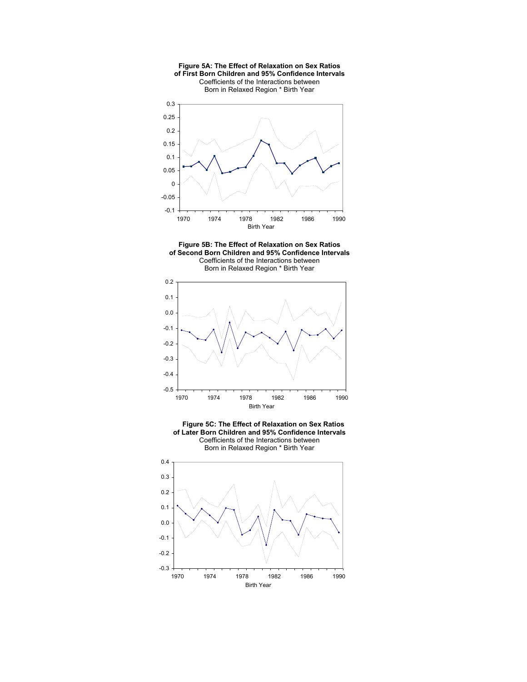







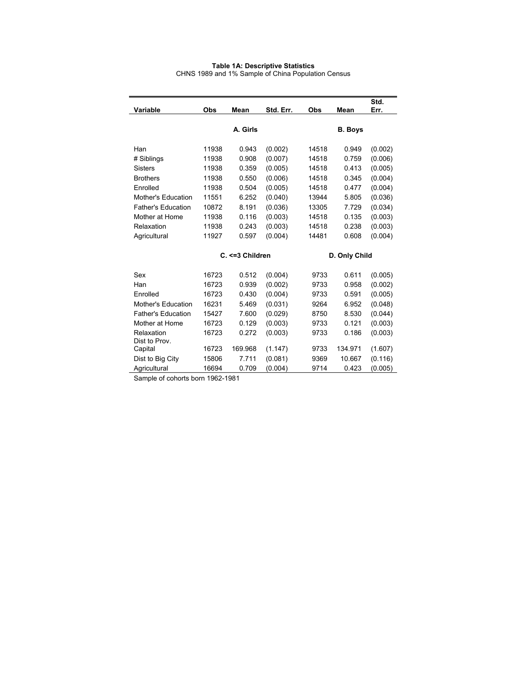#### **Table 1A: Descriptive Statistics**

CHNS 1989 and 1% Sample of China Population Census

|                           |       |                  |           |               |                | Std.    |  |
|---------------------------|-------|------------------|-----------|---------------|----------------|---------|--|
| Variable                  | Obs   | Mean             | Std. Err. | Obs           | Mean           | Err.    |  |
|                           |       |                  |           |               |                |         |  |
|                           |       | A. Girls         |           |               | <b>B.</b> Boys |         |  |
|                           |       |                  |           |               |                |         |  |
| Han                       | 11938 | 0.943            | (0.002)   | 14518         | 0.949          | (0.002) |  |
| # Siblings                | 11938 | 0.908            | (0.007)   | 14518         | 0.759          | (0.006) |  |
| <b>Sisters</b>            | 11938 | 0.359            | (0.005)   | 14518         | 0.413          | (0.005) |  |
| <b>Brothers</b>           | 11938 | 0.550            | (0.006)   | 14518         | 0.345          | (0.004) |  |
| Enrolled                  | 11938 | 0.504            | (0.005)   | 14518         | 0.477          | (0.004) |  |
| Mother's Education        | 11551 | 6.252            | (0.040)   | 13944         | 5.805          | (0.036) |  |
| <b>Father's Education</b> | 10872 | 8.191            | (0.036)   | 13305         | 7.729          | (0.034) |  |
| Mother at Home            | 11938 | 0.116            | (0.003)   | 14518         | 0.135          | (0.003) |  |
| Relaxation                | 11938 | 0.243            | (0.003)   | 14518         | 0.238          | (0.003) |  |
| Agricultural              | 11927 | 0.597            | (0.004)   | 14481         | 0.608          | (0.004) |  |
|                           |       |                  |           |               |                |         |  |
|                           |       | C. <= 3 Children |           | D. Only Child |                |         |  |
| Sex                       |       |                  |           |               |                |         |  |
|                           | 16723 | 0.512            | (0.004)   | 9733          | 0.611          | (0.005) |  |
| Han                       | 16723 | 0.939            | (0.002)   | 9733          | 0.958          | (0.002) |  |
| Enrolled                  | 16723 | 0.430            | (0.004)   | 9733          | 0.591          | (0.005) |  |
| Mother's Education        | 16231 | 5.469            | (0.031)   | 9264          | 6.952          | (0.048) |  |
| <b>Father's Education</b> | 15427 | 7.600            | (0.029)   | 8750          | 8.530          | (0.044) |  |
| Mother at Home            | 16723 | 0.129            | (0.003)   | 9733          | 0.121          | (0.003) |  |
| Relaxation                | 16723 | 0.272            | (0.003)   | 9733          | 0.186          | (0.003) |  |
| Dist to Prov.             |       |                  |           |               |                |         |  |
| Capital                   | 16723 | 169.968          | (1.147)   | 9733          | 134.971        | (1.607) |  |
| Dist to Big City          | 15806 | 7.711            | (0.081)   | 9369          | 10.667         | (0.116) |  |
| Agricultural              | 16694 | 0.709            | (0.004)   | 9714          | 0.423          | (0.005) |  |

Sample of cohorts born 1962-1981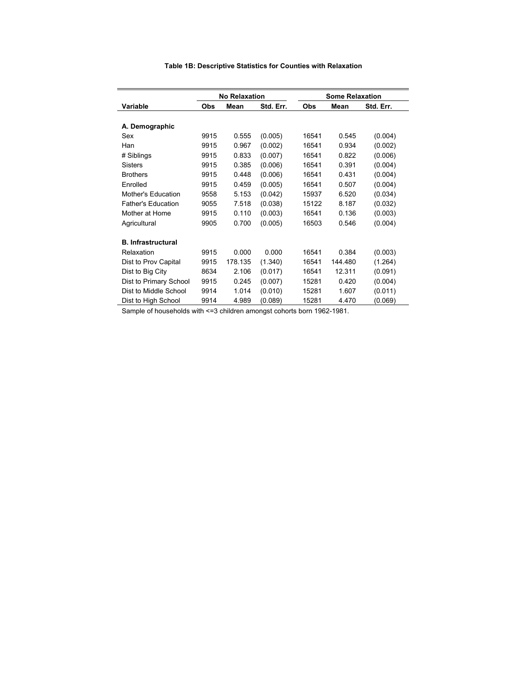|                           |            |                      | <b>Some Relaxation</b> |       |         |           |  |
|---------------------------|------------|----------------------|------------------------|-------|---------|-----------|--|
|                           |            | <b>No Relaxation</b> |                        |       |         |           |  |
| Variable                  | <b>Obs</b> | Mean                 | Std. Err.              | Obs   | Mean    | Std. Err. |  |
|                           |            |                      |                        |       |         |           |  |
| A. Demographic            |            |                      |                        |       |         |           |  |
| Sex                       | 9915       | 0.555                | (0.005)                | 16541 | 0.545   | (0.004)   |  |
| Han                       | 9915       | 0.967                | (0.002)                | 16541 | 0.934   | (0.002)   |  |
| # Siblings                | 9915       | 0.833                | (0.007)                | 16541 | 0.822   | (0.006)   |  |
| <b>Sisters</b>            | 9915       | 0.385                | (0.006)                | 16541 | 0.391   | (0.004)   |  |
| <b>Brothers</b>           | 9915       | 0.448                | (0.006)                | 16541 | 0.431   | (0.004)   |  |
| Enrolled                  | 9915       | 0.459                | (0.005)                | 16541 | 0.507   | (0.004)   |  |
| Mother's Education        | 9558       | 5.153                | (0.042)                | 15937 | 6.520   | (0.034)   |  |
| <b>Father's Education</b> | 9055       | 7.518                | (0.038)                | 15122 | 8.187   | (0.032)   |  |
| Mother at Home            | 9915       | 0.110                | (0.003)                | 16541 | 0.136   | (0.003)   |  |
| Agricultural              | 9905       | 0.700                | (0.005)                | 16503 | 0.546   | (0.004)   |  |
|                           |            |                      |                        |       |         |           |  |
| <b>B.</b> Infrastructural |            |                      |                        |       |         |           |  |
| Relaxation                | 9915       | 0.000                | 0.000                  | 16541 | 0.384   | (0.003)   |  |
| Dist to Prov Capital      | 9915       | 178.135              | (1.340)                | 16541 | 144.480 | (1.264)   |  |
| Dist to Big City          | 8634       | 2.106                | (0.017)                | 16541 | 12.311  | (0.091)   |  |
| Dist to Primary School    | 9915       | 0.245                | (0.007)                | 15281 | 0.420   | (0.004)   |  |
| Dist to Middle School     | 9914       | 1.014                | (0.010)                | 15281 | 1.607   | (0.011)   |  |
| Dist to High School       | 9914       | 4.989                | (0.089)                | 15281 | 4.470   | (0.069)   |  |

## **Table 1B: Descriptive Statistics for Counties with Relaxation**

Sample of households with <=3 children amongst cohorts born 1962-1981.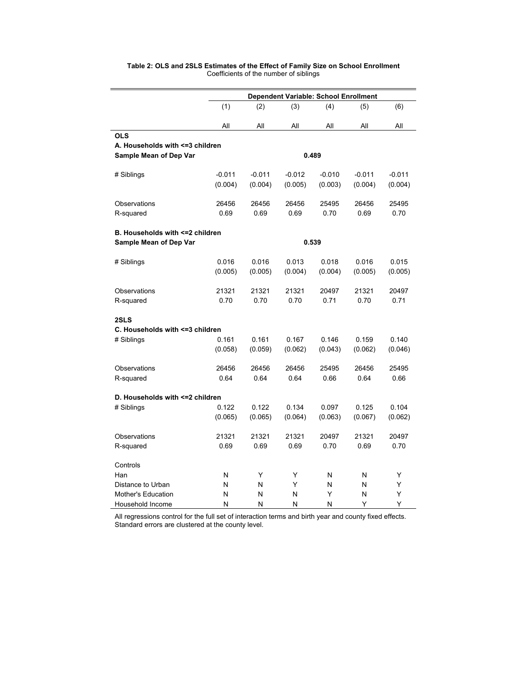|                                  | Dependent Variable: School Enrollment |          |          |          |          |          |  |  |  |  |  |
|----------------------------------|---------------------------------------|----------|----------|----------|----------|----------|--|--|--|--|--|
|                                  | (1)                                   | (2)      | (3)      | (4)      | (5)      | (6)      |  |  |  |  |  |
|                                  | All                                   | All      | All      | All      | All      | All      |  |  |  |  |  |
| <b>OLS</b>                       |                                       |          |          |          |          |          |  |  |  |  |  |
| A. Households with <= 3 children |                                       |          |          | 0.489    |          |          |  |  |  |  |  |
| Sample Mean of Dep Var           |                                       |          |          |          |          |          |  |  |  |  |  |
| # Siblings                       | $-0.011$                              | $-0.011$ | $-0.012$ | $-0.010$ | $-0.011$ | $-0.011$ |  |  |  |  |  |
|                                  | (0.004)                               | (0.004)  | (0.005)  | (0.003)  | (0.004)  | (0.004)  |  |  |  |  |  |
| Observations                     | 26456                                 | 26456    | 26456    | 25495    | 26456    | 25495    |  |  |  |  |  |
| R-squared                        | 0.69                                  | 0.69     | 0.69     | 0.70     | 0.69     | 0.70     |  |  |  |  |  |
| B. Households with <= 2 children |                                       |          |          |          |          |          |  |  |  |  |  |
| Sample Mean of Dep Var           |                                       |          |          | 0.539    |          |          |  |  |  |  |  |
| # Siblings                       | 0.016                                 | 0.016    | 0.013    | 0.018    | 0.016    | 0.015    |  |  |  |  |  |
|                                  | (0.005)                               | (0.005)  | (0.004)  | (0.004)  | (0.005)  | (0.005)  |  |  |  |  |  |
| Observations                     | 21321                                 | 21321    | 21321    | 20497    | 21321    | 20497    |  |  |  |  |  |
| R-squared                        | 0.70                                  | 0.70     | 0.70     | 0.71     | 0.70     | 0.71     |  |  |  |  |  |
| 2SLS                             |                                       |          |          |          |          |          |  |  |  |  |  |
| C. Households with <= 3 children |                                       |          |          |          |          |          |  |  |  |  |  |
| # Siblings                       | 0.161                                 | 0.161    | 0.167    | 0.146    | 0.159    | 0.140    |  |  |  |  |  |
|                                  | (0.058)                               | (0.059)  | (0.062)  | (0.043)  | (0.062)  | (0.046)  |  |  |  |  |  |
| Observations                     | 26456                                 | 26456    | 26456    | 25495    | 26456    | 25495    |  |  |  |  |  |
| R-squared                        | 0.64                                  | 0.64     | 0.64     | 0.66     | 0.64     | 0.66     |  |  |  |  |  |
| D. Households with <= 2 children |                                       |          |          |          |          |          |  |  |  |  |  |
| # Siblings                       | 0.122                                 | 0.122    | 0.134    | 0.097    | 0.125    | 0.104    |  |  |  |  |  |
|                                  | (0.065)                               | (0.065)  | (0.064)  | (0.063)  | (0.067)  | (0.062)  |  |  |  |  |  |
| Observations                     | 21321                                 | 21321    | 21321    | 20497    | 21321    | 20497    |  |  |  |  |  |
| R-squared                        | 0.69                                  | 0.69     | 0.69     | 0.70     | 0.69     | 0.70     |  |  |  |  |  |
| Controls                         |                                       |          |          |          |          |          |  |  |  |  |  |
| Han                              | N                                     | Υ        | Y        | N        | N        | Y        |  |  |  |  |  |
| Distance to Urban                | N                                     | N        | Υ        | N        | N        | Y        |  |  |  |  |  |
| Mother's Education               | N                                     | N        | N        | Y        | N        | Υ        |  |  |  |  |  |
| Household Income                 | N                                     | N        | N        | N        | Υ        | Υ        |  |  |  |  |  |

## **Table 2: OLS and 2SLS Estimates of the Effect of Family Size on School Enrollment**  Coefficients of the number of siblings

All regressions control for the full set of interaction terms and birth year and county fixed effects. Standard errors are clustered at the county level.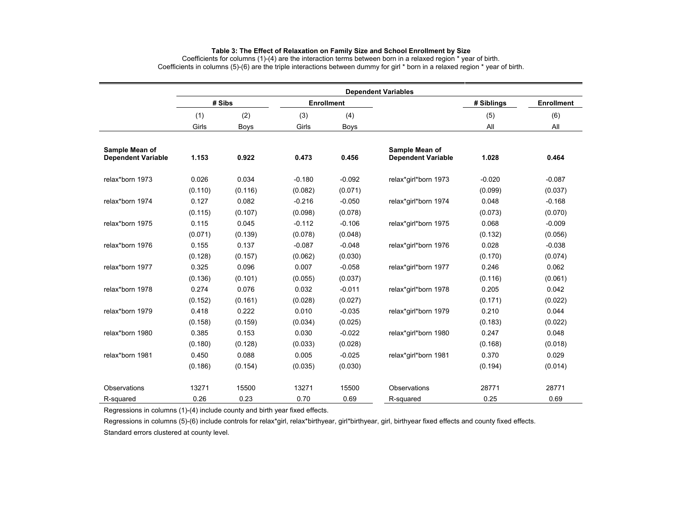#### **Table 3: The Effect of Relaxation on Family Size and School Enrollment by Size**

Coefficients for columns (1)-(4) are the interaction terms between born in a relaxed region \* year of birth. Coefficients in columns (5)-(6) are the triple interactions between dummy for girl \* born in a relaxed region \* year of birth.

|                                             | <b>Dependent Variables</b> |             |          |                   |                                             |            |                   |  |  |  |  |  |
|---------------------------------------------|----------------------------|-------------|----------|-------------------|---------------------------------------------|------------|-------------------|--|--|--|--|--|
|                                             |                            | # Sibs      |          | <b>Enrollment</b> |                                             | # Siblings | <b>Enrollment</b> |  |  |  |  |  |
|                                             | (1)                        | (2)         | (3)      | (4)               |                                             | (5)        | (6)               |  |  |  |  |  |
|                                             | Girls                      | <b>Boys</b> | Girls    | Boys              |                                             | All        | All               |  |  |  |  |  |
| Sample Mean of<br><b>Dependent Variable</b> | 1.153                      | 0.922       | 0.473    | 0.456             | Sample Mean of<br><b>Dependent Variable</b> | 1.028      | 0.464             |  |  |  |  |  |
| relax*born 1973                             | 0.026                      | 0.034       | $-0.180$ | $-0.092$          | relax*girl*born 1973                        | $-0.020$   | $-0.087$          |  |  |  |  |  |
|                                             | (0.110)                    | (0.116)     | (0.082)  | (0.071)           |                                             | (0.099)    | (0.037)           |  |  |  |  |  |
| relax*born 1974                             | 0.127                      | 0.082       | $-0.216$ | $-0.050$          | relax*girl*born 1974                        | 0.048      | $-0.168$          |  |  |  |  |  |
|                                             | (0.115)                    | (0.107)     | (0.098)  | (0.078)           |                                             | (0.073)    | (0.070)           |  |  |  |  |  |
| relax*born 1975                             | 0.115                      | 0.045       | $-0.112$ | $-0.106$          | relax*girl*born 1975                        | 0.068      | $-0.009$          |  |  |  |  |  |
|                                             | (0.071)                    | (0.139)     | (0.078)  | (0.048)           |                                             | (0.132)    | (0.056)           |  |  |  |  |  |
| relax*born 1976                             | 0.155                      | 0.137       | $-0.087$ | $-0.048$          | relax*girl*born 1976                        | 0.028      | $-0.038$          |  |  |  |  |  |
|                                             | (0.128)                    | (0.157)     | (0.062)  | (0.030)           |                                             | (0.170)    | (0.074)           |  |  |  |  |  |
| relax*born 1977                             | 0.325                      | 0.096       | 0.007    | $-0.058$          | relax*girl*born 1977                        | 0.246      | 0.062             |  |  |  |  |  |
|                                             | (0.136)                    | (0.101)     | (0.055)  | (0.037)           |                                             | (0.116)    | (0.061)           |  |  |  |  |  |
| relax*born 1978                             | 0.274                      | 0.076       | 0.032    | $-0.011$          | relax*girl*born 1978                        | 0.205      | 0.042             |  |  |  |  |  |
|                                             | (0.152)                    | (0.161)     | (0.028)  | (0.027)           |                                             | (0.171)    | (0.022)           |  |  |  |  |  |
| relax*born 1979                             | 0.418                      | 0.222       | 0.010    | $-0.035$          | relax*girl*born 1979                        | 0.210      | 0.044             |  |  |  |  |  |
|                                             | (0.158)                    | (0.159)     | (0.034)  | (0.025)           |                                             | (0.183)    | (0.022)           |  |  |  |  |  |
| relax*born 1980                             | 0.385                      | 0.153       | 0.030    | $-0.022$          | relax*girl*born 1980                        | 0.247      | 0.048             |  |  |  |  |  |
|                                             | (0.180)                    | (0.128)     | (0.033)  | (0.028)           |                                             | (0.168)    | (0.018)           |  |  |  |  |  |
| relax*born 1981                             | 0.450                      | 0.088       | 0.005    | $-0.025$          | relax*girl*born 1981                        | 0.370      | 0.029             |  |  |  |  |  |
|                                             | (0.186)                    | (0.154)     | (0.035)  | (0.030)           |                                             | (0.194)    | (0.014)           |  |  |  |  |  |
| Observations                                | 13271                      | 15500       | 13271    | 15500             | Observations                                | 28771      | 28771             |  |  |  |  |  |
| R-squared                                   | 0.26                       | 0.23        | 0.70     | 0.69              | R-squared                                   | 0.25       | 0.69              |  |  |  |  |  |

Regressions in columns (1)-(4) include county and birth year fixed effects.

Regressions in columns (5)-(6) include controls for relax\*girl, relax\*birthyear, girl\*birthyear, girl, birthyear fixed effects and county fixed effects.

Standard errors clustered at county level.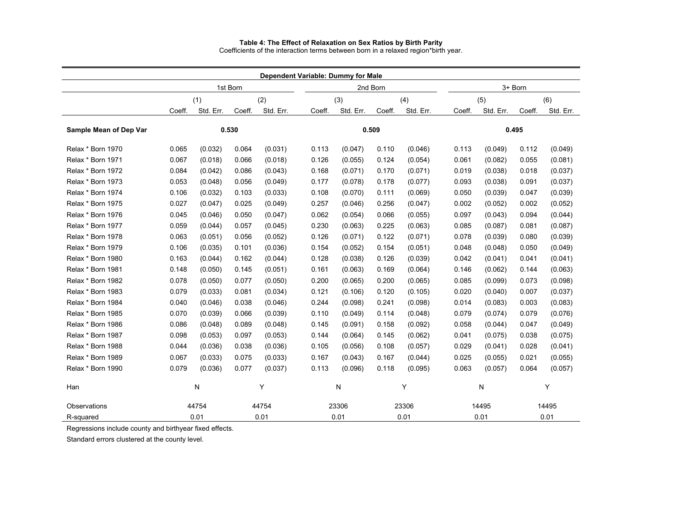#### **Table 4: The Effect of Relaxation on Sex Ratios by Birth Parity**

Coefficients of the interaction terms between born in a relaxed region\*birth year.

|                        |            |           |          | Dependent Variable: Dummy for Male |        |           |          |           |        |           |         |           |
|------------------------|------------|-----------|----------|------------------------------------|--------|-----------|----------|-----------|--------|-----------|---------|-----------|
|                        |            |           | 1st Born |                                    |        |           | 2nd Born |           |        |           | 3+ Born |           |
|                        | (1)<br>(2) |           |          | (3)                                |        | (4)       |          | (5)       | (6)    |           |         |           |
|                        | Coeff.     | Std. Err. | Coeff.   | Std. Err.                          | Coeff. | Std. Err. | Coeff.   | Std. Err. | Coeff. | Std. Err. | Coeff.  | Std. Err. |
|                        |            |           |          |                                    |        |           |          |           |        |           |         |           |
| Sample Mean of Dep Var |            |           | 0.530    |                                    |        |           | 0.509    |           |        |           | 0.495   |           |
| Relax * Born 1970      | 0.065      | (0.032)   | 0.064    | (0.031)                            | 0.113  | (0.047)   | 0.110    | (0.046)   | 0.113  | (0.049)   | 0.112   | (0.049)   |
| Relax * Born 1971      | 0.067      | (0.018)   | 0.066    | (0.018)                            | 0.126  | (0.055)   | 0.124    | (0.054)   | 0.061  | (0.082)   | 0.055   | (0.081)   |
| Relax * Born 1972      | 0.084      | (0.042)   | 0.086    | (0.043)                            | 0.168  | (0.071)   | 0.170    | (0.071)   | 0.019  | (0.038)   | 0.018   | (0.037)   |
| Relax * Born 1973      | 0.053      | (0.048)   | 0.056    | (0.049)                            | 0.177  | (0.078)   | 0.178    | (0.077)   | 0.093  | (0.038)   | 0.091   | (0.037)   |
| Relax * Born 1974      | 0.106      | (0.032)   | 0.103    | (0.033)                            | 0.108  | (0.070)   | 0.111    | (0.069)   | 0.050  | (0.039)   | 0.047   | (0.039)   |
| Relax * Born 1975      | 0.027      | (0.047)   | 0.025    | (0.049)                            | 0.257  | (0.046)   | 0.256    | (0.047)   | 0.002  | (0.052)   | 0.002   | (0.052)   |
| Relax * Born 1976      | 0.045      | (0.046)   | 0.050    | (0.047)                            | 0.062  | (0.054)   | 0.066    | (0.055)   | 0.097  | (0.043)   | 0.094   | (0.044)   |
| Relax * Born 1977      | 0.059      | (0.044)   | 0.057    | (0.045)                            | 0.230  | (0.063)   | 0.225    | (0.063)   | 0.085  | (0.087)   | 0.081   | (0.087)   |
| Relax * Born 1978      | 0.063      | (0.051)   | 0.056    | (0.052)                            | 0.126  | (0.071)   | 0.122    | (0.071)   | 0.078  | (0.039)   | 0.080   | (0.039)   |
| Relax * Born 1979      | 0.106      | (0.035)   | 0.101    | (0.036)                            | 0.154  | (0.052)   | 0.154    | (0.051)   | 0.048  | (0.048)   | 0.050   | (0.049)   |
| Relax * Born 1980      | 0.163      | (0.044)   | 0.162    | (0.044)                            | 0.128  | (0.038)   | 0.126    | (0.039)   | 0.042  | (0.041)   | 0.041   | (0.041)   |
| Relax * Born 1981      | 0.148      | (0.050)   | 0.145    | (0.051)                            | 0.161  | (0.063)   | 0.169    | (0.064)   | 0.146  | (0.062)   | 0.144   | (0.063)   |
| Relax * Born 1982      | 0.078      | (0.050)   | 0.077    | (0.050)                            | 0.200  | (0.065)   | 0.200    | (0.065)   | 0.085  | (0.099)   | 0.073   | (0.098)   |
| Relax * Born 1983      | 0.079      | (0.033)   | 0.081    | (0.034)                            | 0.121  | (0.106)   | 0.120    | (0.105)   | 0.020  | (0.040)   | 0.007   | (0.037)   |
| Relax * Born 1984      | 0.040      | (0.046)   | 0.038    | (0.046)                            | 0.244  | (0.098)   | 0.241    | (0.098)   | 0.014  | (0.083)   | 0.003   | (0.083)   |
| Relax * Born 1985      | 0.070      | (0.039)   | 0.066    | (0.039)                            | 0.110  | (0.049)   | 0.114    | (0.048)   | 0.079  | (0.074)   | 0.079   | (0.076)   |
| Relax * Born 1986      | 0.086      | (0.048)   | 0.089    | (0.048)                            | 0.145  | (0.091)   | 0.158    | (0.092)   | 0.058  | (0.044)   | 0.047   | (0.049)   |
| Relax * Born 1987      | 0.098      | (0.053)   | 0.097    | (0.053)                            | 0.144  | (0.064)   | 0.145    | (0.062)   | 0.041  | (0.075)   | 0.038   | (0.075)   |
| Relax * Born 1988      | 0.044      | (0.036)   | 0.038    | (0.036)                            | 0.105  | (0.056)   | 0.108    | (0.057)   | 0.029  | (0.041)   | 0.028   | (0.041)   |
| Relax * Born 1989      | 0.067      | (0.033)   | 0.075    | (0.033)                            | 0.167  | (0.043)   | 0.167    | (0.044)   | 0.025  | (0.055)   | 0.021   | (0.055)   |
| Relax * Born 1990      | 0.079      | (0.036)   | 0.077    | (0.037)                            | 0.113  | (0.096)   | 0.118    | (0.095)   | 0.063  | (0.057)   | 0.064   | (0.057)   |
| Han                    |            | N         |          | Y                                  |        | Ν         |          | Υ         |        | N         |         | Υ         |
| Observations           |            | 44754     |          | 44754                              |        | 23306     |          | 23306     |        | 14495     |         | 14495     |
| R-squared              |            | 0.01      |          | 0.01                               |        | 0.01      |          | 0.01      |        | 0.01      |         | 0.01      |

Regressions include county and birthyear fixed effects.

Standard errors clustered at the county level.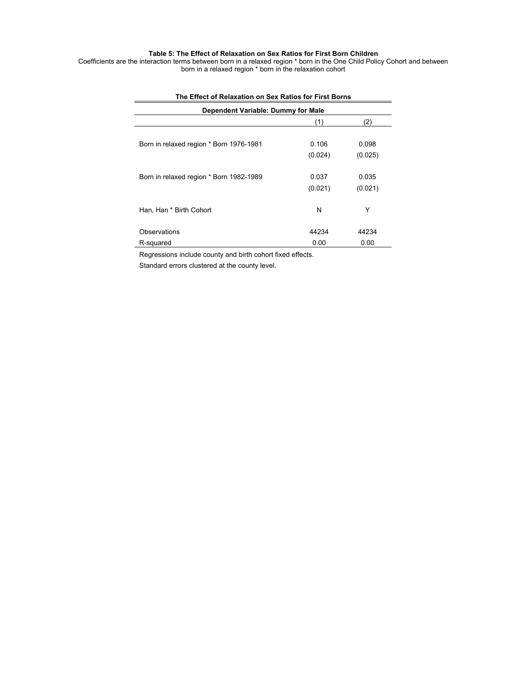## **Table 5: The Effect of Relaxation on Sex Ratios for First Born Children**

Coefficients are the interaction terms between born in a relaxed region \* born in the One Child Policy Cohort and between born in a relaxed region \* born in the relaxation cohort

| THE LITECT OF INFIDABLION ON JEA INDIVIDUATION IN STRUCTION |         |         |  |  |  |  |  |  |  |
|-------------------------------------------------------------|---------|---------|--|--|--|--|--|--|--|
| Dependent Variable: Dummy for Male                          |         |         |  |  |  |  |  |  |  |
|                                                             | (1)     | (2)     |  |  |  |  |  |  |  |
|                                                             |         |         |  |  |  |  |  |  |  |
| Born in relaxed region * Born 1976-1981                     | 0.106   | 0.098   |  |  |  |  |  |  |  |
|                                                             | (0.024) | (0.025) |  |  |  |  |  |  |  |
|                                                             |         |         |  |  |  |  |  |  |  |
| Born in relaxed region * Born 1982-1989                     | 0.037   | 0.035   |  |  |  |  |  |  |  |
|                                                             | (0.021) | (0.021) |  |  |  |  |  |  |  |
|                                                             |         |         |  |  |  |  |  |  |  |
| Han, Han * Birth Cohort                                     | N       | Υ       |  |  |  |  |  |  |  |
|                                                             |         |         |  |  |  |  |  |  |  |
| Observations                                                | 44234   | 44234   |  |  |  |  |  |  |  |
| R-squared                                                   | 0.00    | 0.00    |  |  |  |  |  |  |  |

## **The Effect of Relaxation on Sex Ratios for First Borns**

Regressions include county and birth cohort fixed effects.

Standard errors clustered at the county level.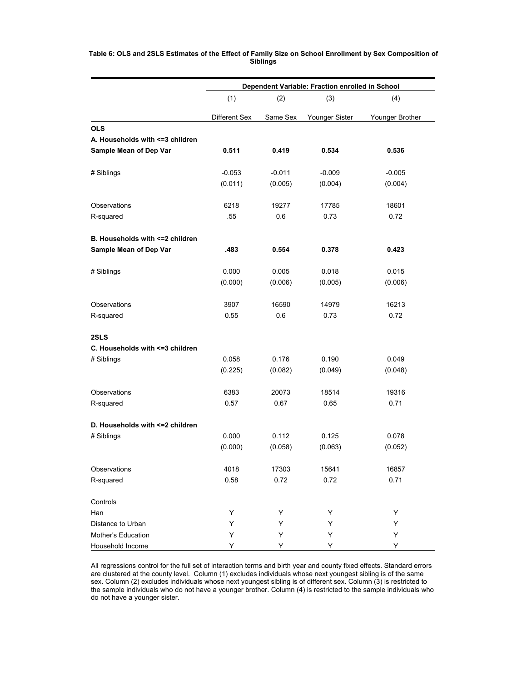|                                  | Dependent Variable: Fraction enrolled in School |          |                |                 |  |  |  |  |  |
|----------------------------------|-------------------------------------------------|----------|----------------|-----------------|--|--|--|--|--|
|                                  | (1)                                             | (2)      | (3)            | (4)             |  |  |  |  |  |
|                                  | Different Sex                                   | Same Sex | Younger Sister | Younger Brother |  |  |  |  |  |
| <b>OLS</b>                       |                                                 |          |                |                 |  |  |  |  |  |
| A. Households with <= 3 children |                                                 |          |                |                 |  |  |  |  |  |
| Sample Mean of Dep Var           | 0.511                                           | 0.419    | 0.534          | 0.536           |  |  |  |  |  |
| # Siblings                       | $-0.053$                                        | $-0.011$ | $-0.009$       | $-0.005$        |  |  |  |  |  |
|                                  | (0.011)                                         | (0.005)  | (0.004)        | (0.004)         |  |  |  |  |  |
| Observations                     | 6218                                            | 19277    | 17785          | 18601           |  |  |  |  |  |
| R-squared                        | .55                                             | 0.6      | 0.73           | 0.72            |  |  |  |  |  |
| B. Households with <= 2 children |                                                 |          |                |                 |  |  |  |  |  |
| Sample Mean of Dep Var           | .483                                            | 0.554    | 0.378          | 0.423           |  |  |  |  |  |
| # Siblings                       | 0.000                                           | 0.005    | 0.018          | 0.015           |  |  |  |  |  |
|                                  | (0.000)                                         | (0.006)  | (0.005)        | (0.006)         |  |  |  |  |  |
| Observations                     | 3907                                            | 16590    | 14979          | 16213           |  |  |  |  |  |
| R-squared                        | 0.55                                            | 0.6      | 0.73           | 0.72            |  |  |  |  |  |
| 2SLS                             |                                                 |          |                |                 |  |  |  |  |  |
| C. Households with <= 3 children |                                                 |          |                |                 |  |  |  |  |  |
| # Siblings                       | 0.058                                           | 0.176    | 0.190          | 0.049           |  |  |  |  |  |
|                                  | (0.225)                                         | (0.082)  | (0.049)        | (0.048)         |  |  |  |  |  |
| Observations                     | 6383                                            | 20073    | 18514          | 19316           |  |  |  |  |  |
| R-squared                        | 0.57                                            | 0.67     | 0.65           | 0.71            |  |  |  |  |  |
| D. Households with <= 2 children |                                                 |          |                |                 |  |  |  |  |  |
| # Siblings                       | 0.000                                           | 0.112    | 0.125          | 0.078           |  |  |  |  |  |
|                                  | (0.000)                                         | (0.058)  | (0.063)        | (0.052)         |  |  |  |  |  |
| Observations                     | 4018                                            | 17303    | 15641          | 16857           |  |  |  |  |  |
| R-squared                        | 0.58                                            | 0.72     | 0.72           | 0.71            |  |  |  |  |  |
| Controls                         |                                                 |          |                |                 |  |  |  |  |  |
| Han                              | Υ                                               | Y        | Υ              | Υ               |  |  |  |  |  |
| Distance to Urban                | Y                                               | Υ        | Υ              | Υ               |  |  |  |  |  |
| Mother's Education               | Υ                                               | Y        | Υ              | Υ               |  |  |  |  |  |
| Household Income                 | Υ                                               | Υ        | Υ              | Υ               |  |  |  |  |  |

## **Table 6: OLS and 2SLS Estimates of the Effect of Family Size on School Enrollment by Sex Composition of Siblings**

All regressions control for the full set of interaction terms and birth year and county fixed effects. Standard errors are clustered at the county level. Column (1) excludes individuals whose next youngest sibling is of the same sex. Column (2) excludes individuals whose next youngest sibling is of different sex. Column (3) is restricted to the sample individuals who do not have a younger brother. Column (4) is restricted to the sample individuals who do not have a younger sister.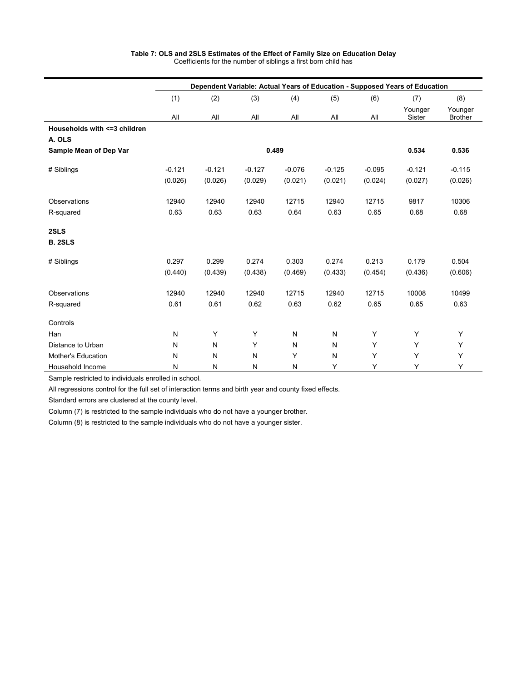|                                         | Dependent Variable: Actual Years of Education - Supposed Years of Education |           |          |              |          |          |                   |                           |  |  |  |
|-----------------------------------------|-----------------------------------------------------------------------------|-----------|----------|--------------|----------|----------|-------------------|---------------------------|--|--|--|
|                                         | (1)                                                                         | (2)       | (3)      | (4)          | (5)      | (6)      | (7)               | (8)                       |  |  |  |
|                                         | All                                                                         | All       | All      | All          | All      | All      | Younger<br>Sister | Younger<br><b>Brother</b> |  |  |  |
| Households with <= 3 children<br>A. OLS |                                                                             |           |          |              |          |          |                   |                           |  |  |  |
| Sample Mean of Dep Var                  |                                                                             |           | 0.489    | 0.534        | 0.536    |          |                   |                           |  |  |  |
| # Siblings                              | $-0.121$                                                                    | $-0.121$  | $-0.127$ | $-0.076$     | $-0.125$ | $-0.095$ | $-0.121$          | $-0.115$                  |  |  |  |
|                                         | (0.026)                                                                     | (0.026)   | (0.029)  | (0.021)      | (0.021)  | (0.024)  | (0.027)           | (0.026)                   |  |  |  |
| Observations                            | 12940                                                                       | 12940     | 12940    | 12715        | 12940    | 12715    | 9817              | 10306                     |  |  |  |
| R-squared                               | 0.63                                                                        | 0.63      | 0.63     | 0.64         | 0.63     | 0.65     | 0.68              | 0.68                      |  |  |  |
| 2SLS                                    |                                                                             |           |          |              |          |          |                   |                           |  |  |  |
| <b>B. 2SLS</b>                          |                                                                             |           |          |              |          |          |                   |                           |  |  |  |
| # Siblings                              | 0.297                                                                       | 0.299     | 0.274    | 0.303        | 0.274    | 0.213    | 0.179             | 0.504                     |  |  |  |
|                                         | (0.440)                                                                     | (0.439)   | (0.438)  | (0.469)      | (0.433)  | (0.454)  | (0.436)           | (0.606)                   |  |  |  |
| Observations                            | 12940                                                                       | 12940     | 12940    | 12715        | 12940    | 12715    | 10008             | 10499                     |  |  |  |
| R-squared                               | 0.61                                                                        | 0.61      | 0.62     | 0.63         | 0.62     | 0.65     | 0.65              | 0.63                      |  |  |  |
| Controls                                |                                                                             |           |          |              |          |          |                   |                           |  |  |  |
| Han                                     | N                                                                           | Y         | Y        | $\mathsf{N}$ | N        | Y        | Y                 | Y                         |  |  |  |
| Distance to Urban                       | ${\sf N}$                                                                   | ${\sf N}$ | Y        | N            | N        | Υ        | Y                 | Y                         |  |  |  |
| Mother's Education                      | N                                                                           | N         | N        | Y            | N        | Y        | Y                 | Y                         |  |  |  |
| Household Income                        | N                                                                           | N         | N        | N            | Υ        | Y        | Y                 | Υ                         |  |  |  |

## **Table 7: OLS and 2SLS Estimates of the Effect of Family Size on Education Delay**  Coefficients for the number of siblings a first born child has

Sample restricted to individuals enrolled in school.

All regressions control for the full set of interaction terms and birth year and county fixed effects.

Standard errors are clustered at the county level.

Column (7) is restricted to the sample individuals who do not have a younger brother.

Column (8) is restricted to the sample individuals who do not have a younger sister.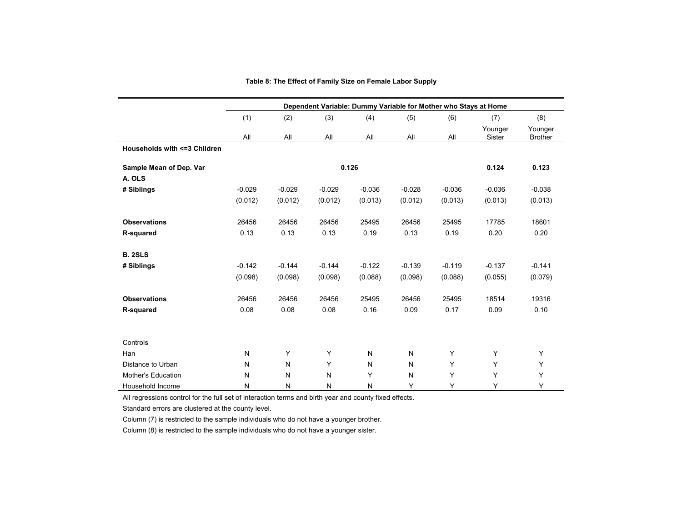|                               | Dependent Variable: Dummy Variable for Mother who Stays at Home |          |          |          |          |          |                   |                           |  |  |  |
|-------------------------------|-----------------------------------------------------------------|----------|----------|----------|----------|----------|-------------------|---------------------------|--|--|--|
|                               | (1)                                                             | (2)      | (3)      | (4)      | (5)      | (6)      | (7)               | (8)                       |  |  |  |
|                               | All                                                             | All      | All      | All      | All      | All      | Younger<br>Sister | Younger<br><b>Brother</b> |  |  |  |
| Households with <= 3 Children |                                                                 |          |          |          |          |          |                   |                           |  |  |  |
| Sample Mean of Dep. Var       |                                                                 |          |          | 0.126    |          |          | 0.124             | 0.123                     |  |  |  |
| A. OLS                        |                                                                 |          |          |          |          |          |                   |                           |  |  |  |
| # Siblings                    | $-0.029$                                                        | $-0.029$ | $-0.029$ | $-0.036$ | $-0.028$ | $-0.036$ | $-0.036$          | $-0.038$                  |  |  |  |
|                               | (0.012)                                                         | (0.012)  | (0.012)  | (0.013)  | (0.012)  | (0.013)  | (0.013)           | (0.013)                   |  |  |  |
|                               |                                                                 |          |          |          |          |          |                   |                           |  |  |  |
| <b>Observations</b>           | 26456                                                           | 26456    | 26456    | 25495    | 26456    | 25495    | 17785             | 18601                     |  |  |  |
| R-squared                     | 0.13                                                            | 0.13     | 0.13     | 0.19     | 0.13     | 0.19     | 0.20              | 0.20                      |  |  |  |
|                               |                                                                 |          |          |          |          |          |                   |                           |  |  |  |
| <b>B. 2SLS</b>                |                                                                 |          |          |          |          |          |                   |                           |  |  |  |
| # Siblings                    | $-0.142$                                                        | $-0.144$ | $-0.144$ | $-0.122$ | $-0.139$ | $-0.119$ | $-0.137$          | $-0.141$                  |  |  |  |
|                               | (0.098)                                                         | (0.098)  | (0.098)  | (0.088)  | (0.098)  | (0.088)  | (0.055)           | (0.079)                   |  |  |  |
| <b>Observations</b>           | 26456                                                           | 26456    | 26456    | 25495    | 26456    | 25495    | 18514             | 19316                     |  |  |  |
| R-squared                     | 0.08                                                            | 0.08     | 0.08     | 0.16     | 0.09     | 0.17     | 0.09              | 0.10                      |  |  |  |
|                               |                                                                 |          |          |          |          |          |                   |                           |  |  |  |
|                               |                                                                 |          |          |          |          |          |                   |                           |  |  |  |
| Controls                      |                                                                 |          |          |          |          |          |                   |                           |  |  |  |
| Han                           | N                                                               | Y        | Y        | N        | N        | Y        | Y                 | Y                         |  |  |  |
| Distance to Urban             | N                                                               | N        | Y        | N        | N        | Υ        | Y                 | Y                         |  |  |  |
| Mother's Education            | N                                                               | N        | N        | Y        | N        | Y        | Y                 | Y                         |  |  |  |
| Household Income              | N                                                               | N        | N        | N        | Υ        | Y        | Υ                 | Y                         |  |  |  |

## **Table 8: The Effect of Family Size on Female Labor Supply**

All regressions control for the full set of interaction terms and birth year and county fixed effects.

Standard errors are clustered at the county level.

Column (7) is restricted to the sample individuals who do not have a younger brother.

Column (8) is restricted to the sample individuals who do not have a younger sister.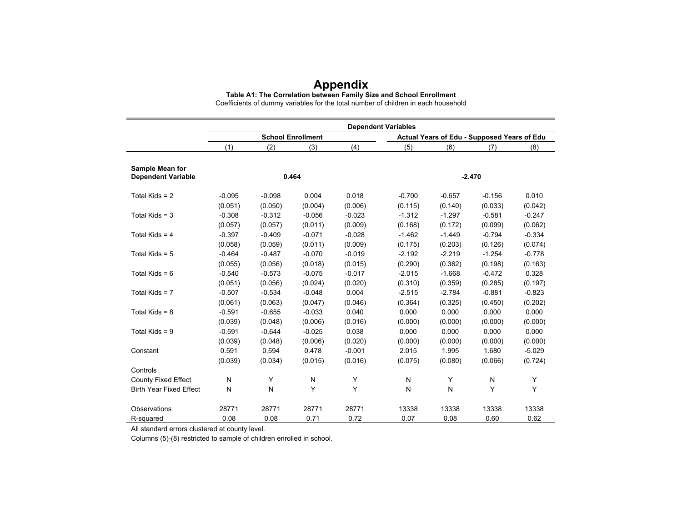## **Appendix**

**Table A1: The Correlation between Family Size and School Enrollment**

Coefficients of dummy variables for the total number of children in each household

|                                                     | <b>Dependent Variables</b> |          |                          |          |          |                                             |          |          |  |  |  |
|-----------------------------------------------------|----------------------------|----------|--------------------------|----------|----------|---------------------------------------------|----------|----------|--|--|--|
|                                                     |                            |          | <b>School Enrollment</b> |          |          | Actual Years of Edu - Supposed Years of Edu |          |          |  |  |  |
|                                                     | (1)                        | (2)      | (3)                      | (4)      | (5)      | (6)                                         | (7)      | (8)      |  |  |  |
|                                                     |                            |          |                          |          |          |                                             |          |          |  |  |  |
| <b>Sample Mean for</b><br><b>Dependent Variable</b> |                            |          | 0.464                    |          |          |                                             | $-2.470$ |          |  |  |  |
| Total Kids = $2$                                    | $-0.095$                   | $-0.098$ | 0.004                    | 0.018    | $-0.700$ | $-0.657$                                    | $-0.156$ | 0.010    |  |  |  |
|                                                     | (0.051)                    | (0.050)  | (0.004)                  | (0.006)  | (0.115)  | (0.140)                                     | (0.033)  | (0.042)  |  |  |  |
| Total Kids = $3$                                    | $-0.308$                   | $-0.312$ | $-0.056$                 | $-0.023$ | $-1.312$ | $-1.297$                                    | $-0.581$ | $-0.247$ |  |  |  |
|                                                     | (0.057)                    | (0.057)  | (0.011)                  | (0.009)  | (0.168)  | (0.172)                                     | (0.099)  | (0.062)  |  |  |  |
| Total Kids = $4$                                    | $-0.397$                   | $-0.409$ | $-0.071$                 | $-0.028$ | $-1.462$ | $-1.449$                                    | $-0.794$ | $-0.334$ |  |  |  |
|                                                     | (0.058)                    | (0.059)  | (0.011)                  | (0.009)  | (0.175)  | (0.203)                                     | (0.126)  | (0.074)  |  |  |  |
| Total Kids = $5$                                    | $-0.464$                   | $-0.487$ | $-0.070$                 | $-0.019$ | $-2.192$ | $-2.219$                                    | $-1.254$ | $-0.778$ |  |  |  |
|                                                     | (0.055)                    | (0.056)  | (0.018)                  | (0.015)  | (0.290)  | (0.362)                                     | (0.198)  | (0.163)  |  |  |  |
| Total Kids = $6$                                    | $-0.540$                   | $-0.573$ | $-0.075$                 | $-0.017$ | $-2.015$ | $-1.668$                                    | $-0.472$ | 0.328    |  |  |  |
|                                                     | (0.051)                    | (0.056)  | (0.024)                  | (0.020)  | (0.310)  | (0.359)                                     | (0.285)  | (0.197)  |  |  |  |
| Total Kids = $7$                                    | $-0.507$                   | $-0.534$ | $-0.048$                 | 0.004    | $-2.515$ | $-2.784$                                    | $-0.881$ | $-0.823$ |  |  |  |
|                                                     | (0.061)                    | (0.063)  | (0.047)                  | (0.046)  | (0.364)  | (0.325)                                     | (0.450)  | (0.202)  |  |  |  |
| Total Kids = $8$                                    | $-0.591$                   | $-0.655$ | $-0.033$                 | 0.040    | 0.000    | 0.000                                       | 0.000    | 0.000    |  |  |  |
|                                                     | (0.039)                    | (0.048)  | (0.006)                  | (0.016)  | (0.000)  | (0.000)                                     | (0.000)  | (0.000)  |  |  |  |
| Total Kids = $9$                                    | $-0.591$                   | $-0.644$ | $-0.025$                 | 0.038    | 0.000    | 0.000                                       | 0.000    | 0.000    |  |  |  |
|                                                     | (0.039)                    | (0.048)  | (0.006)                  | (0.020)  | (0.000)  | (0.000)                                     | (0.000)  | (0.000)  |  |  |  |
| Constant                                            | 0.591                      | 0.594    | 0.478                    | $-0.001$ | 2.015    | 1.995                                       | 1.680    | $-5.029$ |  |  |  |
|                                                     | (0.039)                    | (0.034)  | (0.015)                  | (0.016)  | (0.075)  | (0.080)                                     | (0.066)  | (0.724)  |  |  |  |
| Controls                                            |                            |          |                          |          |          |                                             |          |          |  |  |  |
| <b>County Fixed Effect</b>                          | N                          | Υ        | N                        | Υ        | N        | Υ                                           | N        | Y        |  |  |  |
| <b>Birth Year Fixed Effect</b>                      | N                          | N        | Υ                        | Y        | N        | N                                           | Y        | Y        |  |  |  |
| Observations                                        | 28771                      | 28771    | 28771                    | 28771    | 13338    | 13338                                       | 13338    | 13338    |  |  |  |
| R-squared                                           | 0.08                       | 0.08     | 0.71                     | 0.72     | 0.07     | 0.08                                        | 0.60     | 0.62     |  |  |  |

All standard errors clustered at county level.

Columns (5)-(8) restricted to sample of children enrolled in school.